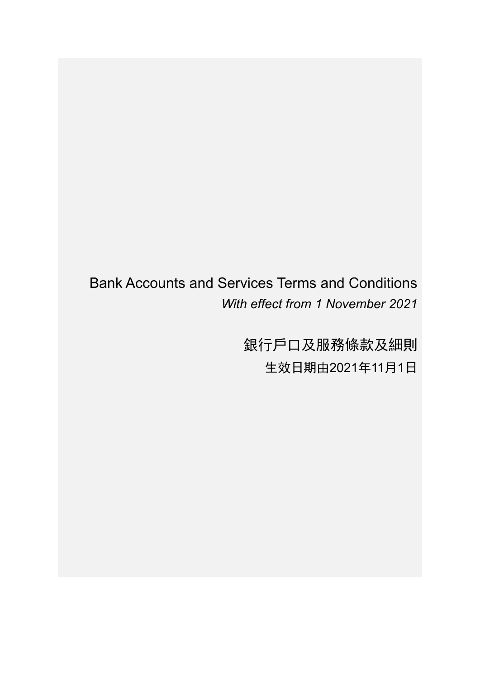## Bank Accounts and Services Terms and Conditions *With effect from 1 November 2021*

銀行戶口及服務條款及細則 生效日期由2021年11月1日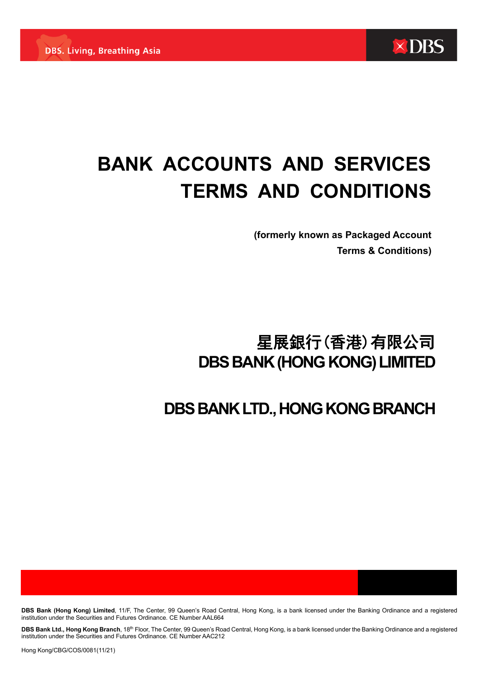

# **BANK ACCOUNTS AND SERVICES TERMS AND CONDITIONS**

**(formerly known as Packaged Account Terms & Conditions)**

## 星展銀行(香港)有限公司 **DBS BANK (HONG KONG) LIMITED**

## **DBS BANK LTD., HONG KONG BRANCH**

**DBS Bank (Hong Kong) Limited**, 11/F, The Center, 99 Queen's Road Central, Hong Kong, is a bank licensed under the Banking Ordinance and a registered institution under the Securities and Futures Ordinance. CE Number AAL664

DBS Bank Ltd., Hong Kong Branch, 18<sup>th</sup> Floor, The Center, 99 Queen's Road Central, Hong Kong, is a bank licensed under the Banking Ordinance and a registered institution under the Securities and Futures Ordinance. CE Number AAC212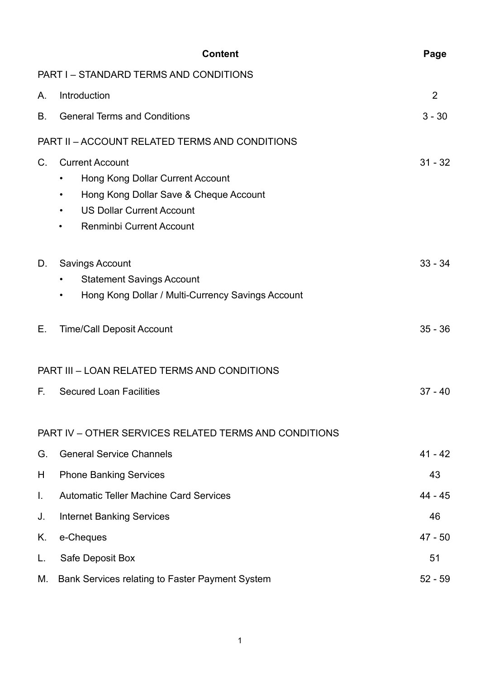|    | <b>Content</b>                                                                                                                                                                                                         | Page      |
|----|------------------------------------------------------------------------------------------------------------------------------------------------------------------------------------------------------------------------|-----------|
|    | <b>PART I - STANDARD TERMS AND CONDITIONS</b>                                                                                                                                                                          |           |
| Α. | Introduction                                                                                                                                                                                                           | 2         |
| B. | <b>General Terms and Conditions</b>                                                                                                                                                                                    | $3 - 30$  |
|    | PART II - ACCOUNT RELATED TERMS AND CONDITIONS                                                                                                                                                                         |           |
| C. | <b>Current Account</b><br><b>Hong Kong Dollar Current Account</b><br>٠<br>Hong Kong Dollar Save & Cheque Account<br>٠<br><b>US Dollar Current Account</b><br>$\bullet$<br><b>Renminbi Current Account</b><br>$\bullet$ | $31 - 32$ |
| D. | <b>Savings Account</b><br><b>Statement Savings Account</b><br>$\bullet$<br>Hong Kong Dollar / Multi-Currency Savings Account<br>٠                                                                                      | $33 - 34$ |
| Е. | <b>Time/Call Deposit Account</b>                                                                                                                                                                                       | $35 - 36$ |
|    | <b>PART III - LOAN RELATED TERMS AND CONDITIONS</b>                                                                                                                                                                    |           |
| F. | <b>Secured Loan Facilities</b>                                                                                                                                                                                         | $37 - 40$ |
|    | PART IV - OTHER SERVICES RELATED TERMS AND CONDITIONS                                                                                                                                                                  |           |
| G. | <b>General Service Channels</b>                                                                                                                                                                                        | $41 - 42$ |
| H  | <b>Phone Banking Services</b>                                                                                                                                                                                          | 43        |
| I. | <b>Automatic Teller Machine Card Services</b>                                                                                                                                                                          | 44 - 45   |
| J. | <b>Internet Banking Services</b>                                                                                                                                                                                       | 46        |
| Κ. | e-Cheques                                                                                                                                                                                                              | 47 - 50   |
| L. | Safe Deposit Box                                                                                                                                                                                                       | 51        |
| М. | Bank Services relating to Faster Payment System                                                                                                                                                                        | $52 - 59$ |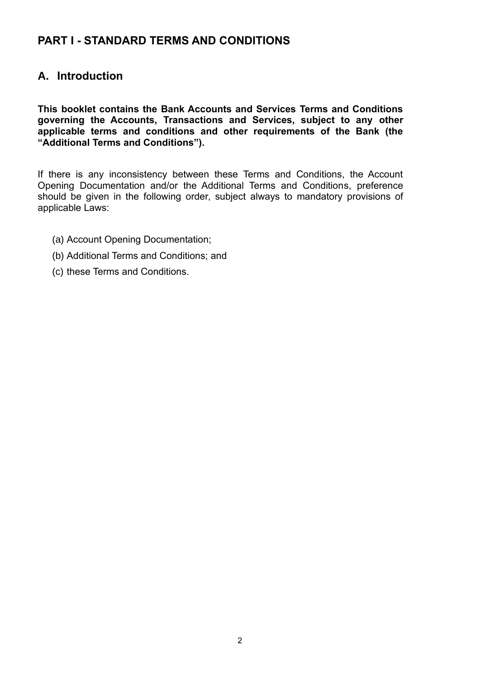## **PART I - STANDARD TERMS AND CONDITIONS**

## **A. Introduction**

**This booklet contains the Bank Accounts and Services Terms and Conditions governing the Accounts, Transactions and Services, subject to any other applicable terms and conditions and other requirements of the Bank (the "Additional Terms and Conditions").**

If there is any inconsistency between these Terms and Conditions, the Account Opening Documentation and/or the Additional Terms and Conditions, preference should be given in the following order, subject always to mandatory provisions of applicable Laws:

- (a) Account Opening Documentation;
- (b) Additional Terms and Conditions; and
- (c) these Terms and Conditions.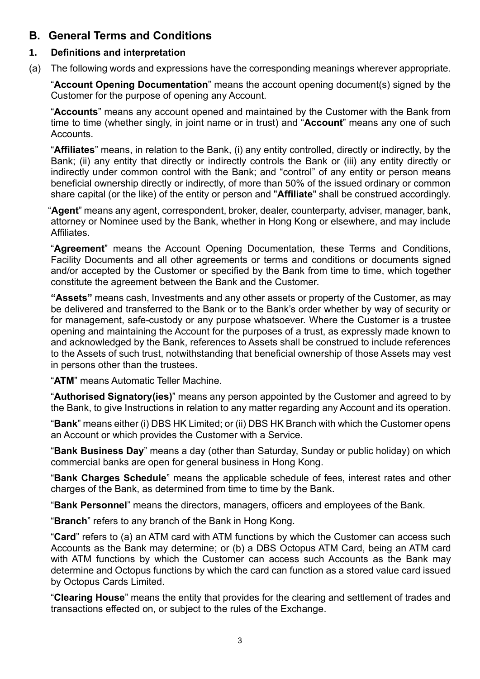## **B. General Terms and Conditions**

#### **1. Definitions and interpretation**

(a) The following words and expressions have the corresponding meanings wherever appropriate.

"**Account Opening Documentation**" means the account opening document(s) signed by the Customer for the purpose of opening any Account.

"**Accounts**" means any account opened and maintained by the Customer with the Bank from time to time (whether singly, in joint name or in trust) and "**Account**" means any one of such Accounts.

"**Affiliates**" means, in relation to the Bank, (i) any entity controlled, directly or indirectly, by the Bank; (ii) any entity that directly or indirectly controls the Bank or (iii) any entity directly or indirectly under common control with the Bank; and "control" of any entity or person means beneficial ownership directly or indirectly, of more than 50% of the issued ordinary or common share capital (or the like) of the entity or person and "**Affiliate**" shall be construed accordingly.

"**Agent**" means any agent, correspondent, broker, dealer, counterparty, adviser, manager, bank, attorney or Nominee used by the Bank, whether in Hong Kong or elsewhere, and may include Affiliates.

"**Agreement**" means the Account Opening Documentation, these Terms and Conditions, Facility Documents and all other agreements or terms and conditions or documents signed and/or accepted by the Customer or specified by the Bank from time to time, which together constitute the agreement between the Bank and the Customer.

**"Assets"** means cash, Investments and any other assets or property of the Customer, as may be delivered and transferred to the Bank or to the Bank's order whether by way of security or for management, safe-custody or any purpose whatsoever. Where the Customer is a trustee opening and maintaining the Account for the purposes of a trust, as expressly made known to and acknowledged by the Bank, references to Assets shall be construed to include references to the Assets of such trust, notwithstanding that beneficial ownership of those Assets may vest in persons other than the trustees.

"**ATM**" means Automatic Teller Machine.

"**Authorised Signatory(ies)**" means any person appointed by the Customer and agreed to by the Bank, to give Instructions in relation to any matter regarding any Account and its operation.

"**Bank**" means either (i) DBS HK Limited; or (ii) DBS HK Branch with which the Customer opens an Account or which provides the Customer with a Service.

"**Bank Business Day**" means a day (other than Saturday, Sunday or public holiday) on which commercial banks are open for general business in Hong Kong.

"**Bank Charges Schedule**" means the applicable schedule of fees, interest rates and other charges of the Bank, as determined from time to time by the Bank.

"**Bank Personnel**" means the directors, managers, officers and employees of the Bank.

"**Branch**" refers to any branch of the Bank in Hong Kong.

"**Card**" refers to (a) an ATM card with ATM functions by which the Customer can access such Accounts as the Bank may determine; or (b) a DBS Octopus ATM Card, being an ATM card with ATM functions by which the Customer can access such Accounts as the Bank may determine and Octopus functions by which the card can function as a stored value card issued by Octopus Cards Limited.

"**Clearing House**" means the entity that provides for the clearing and settlement of trades and transactions effected on, or subject to the rules of the Exchange.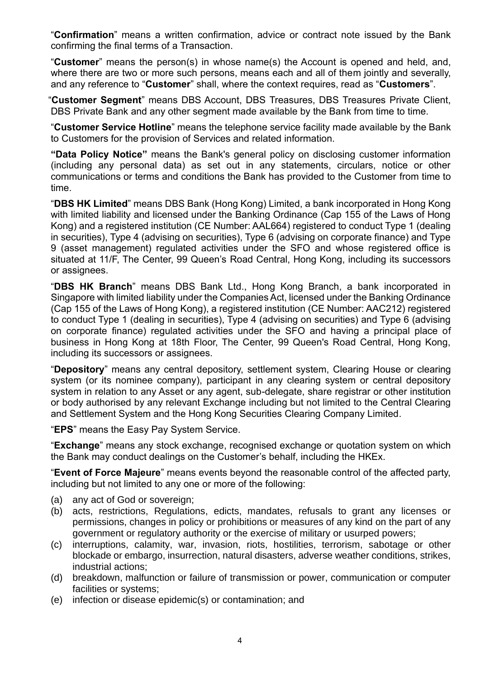"**Confirmation**" means a written confirmation, advice or contract note issued by the Bank confirming the final terms of a Transaction.

"**Customer**" means the person(s) in whose name(s) the Account is opened and held, and, where there are two or more such persons, means each and all of them jointly and severally, and any reference to "**Customer**" shall, where the context requires, read as "**Customers**".

"**Customer Segment**" means DBS Account, DBS Treasures, DBS Treasures Private Client, DBS Private Bank and any other segment made available by the Bank from time to time.

"**Customer Service Hotline**" means the telephone service facility made available by the Bank to Customers for the provision of Services and related information.

**"Data Policy Notice"** means the Bank's general policy on disclosing customer information (including any personal data) as set out in any statements, circulars, notice or other communications or terms and conditions the Bank has provided to the Customer from time to time.

"**DBS HK Limited**" means DBS Bank (Hong Kong) Limited, a bank incorporated in Hong Kong with limited liability and licensed under the Banking Ordinance (Cap 155 of the Laws of Hong Kong) and a registered institution (CE Number: AAL664) registered to conduct Type 1 (dealing in securities), Type 4 (advising on securities), Type 6 (advising on corporate finance) and Type 9 (asset management) regulated activities under the SFO and whose registered office is situated at 11/F, The Center, 99 Queen's Road Central, Hong Kong, including its successors or assignees.

"**DBS HK Branch**" means DBS Bank Ltd., Hong Kong Branch, a bank incorporated in Singapore with limited liability under the Companies Act, licensed under the Banking Ordinance (Cap 155 of the Laws of Hong Kong), a registered institution (CE Number: AAC212) registered to conduct Type 1 (dealing in securities), Type 4 (advising on securities) and Type 6 (advising on corporate finance) regulated activities under the SFO and having a principal place of business in Hong Kong at 18th Floor, The Center, 99 Queen's Road Central, Hong Kong, including its successors or assignees.

"**Depository**" means any central depository, settlement system, Clearing House or clearing system (or its nominee company), participant in any clearing system or central depository system in relation to any Asset or any agent, sub-delegate, share registrar or other institution or body authorised by any relevant Exchange including but not limited to the Central Clearing and Settlement System and the Hong Kong Securities Clearing Company Limited.

"**EPS**" means the Easy Pay System Service.

"**Exchange**" means any stock exchange, recognised exchange or quotation system on which the Bank may conduct dealings on the Customer's behalf, including the HKEx.

"**Event of Force Majeure**" means events beyond the reasonable control of the affected party, including but not limited to any one or more of the following:

- (a) any act of God or sovereign:
- (b) acts, restrictions, Regulations, edicts, mandates, refusals to grant any licenses or permissions, changes in policy or prohibitions or measures of any kind on the part of any government or regulatory authority or the exercise of military or usurped powers;
- (c) interruptions, calamity, war, invasion, riots, hostilities, terrorism, sabotage or other blockade or embargo, insurrection, natural disasters, adverse weather conditions, strikes, industrial actions;
- (d) breakdown, malfunction or failure of transmission or power, communication or computer facilities or systems;
- (e) infection or disease epidemic(s) or contamination; and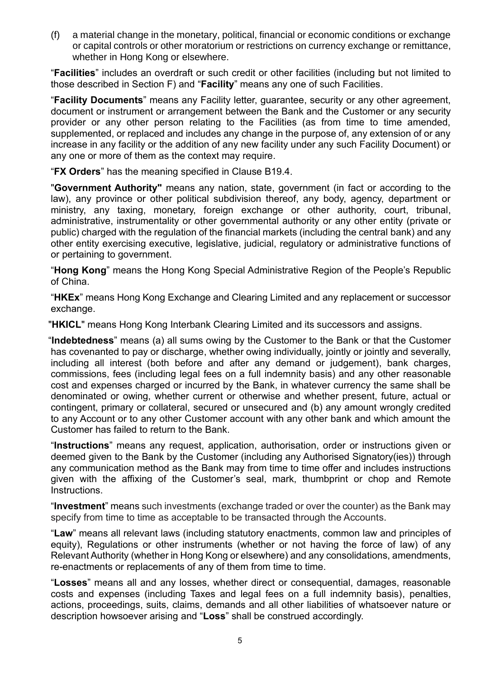(f) a material change in the monetary, political, financial or economic conditions or exchange or capital controls or other moratorium or restrictions on currency exchange or remittance, whether in Hong Kong or elsewhere.

"**Facilities**" includes an overdraft or such credit or other facilities (including but not limited to those described in Section F) and "**Facility**" means any one of such Facilities.

"**Facility Documents**" means any Facility letter, guarantee, security or any other agreement, document or instrument or arrangement between the Bank and the Customer or any security provider or any other person relating to the Facilities (as from time to time amended, supplemented, or replaced and includes any change in the purpose of, any extension of or any increase in any facility or the addition of any new facility under any such Facility Document) or any one or more of them as the context may require.

"**FX Orders**" has the meaning specified in Clause B19.4.

"**Government Authority"** means any nation, state, government (in fact or according to the law), any province or other political subdivision thereof, any body, agency, department or ministry, any taxing, monetary, foreign exchange or other authority, court, tribunal, administrative, instrumentality or other governmental authority or any other entity (private or public) charged with the regulation of the financial markets (including the central bank) and any other entity exercising executive, legislative, judicial, regulatory or administrative functions of or pertaining to government.

"**Hong Kong**" means the Hong Kong Special Administrative Region of the People's Republic of China.

"**HKEx**" means Hong Kong Exchange and Clearing Limited and any replacement or successor exchange.

"**HKICL**" means Hong Kong Interbank Clearing Limited and its successors and assigns.

 "**Indebtedness**" means (a) all sums owing by the Customer to the Bank or that the Customer has covenanted to pay or discharge, whether owing individually, jointly or jointly and severally, including all interest (both before and after any demand or judgement), bank charges, commissions, fees (including legal fees on a full indemnity basis) and any other reasonable cost and expenses charged or incurred by the Bank, in whatever currency the same shall be denominated or owing, whether current or otherwise and whether present, future, actual or contingent, primary or collateral, secured or unsecured and (b) any amount wrongly credited to any Account or to any other Customer account with any other bank and which amount the Customer has failed to return to the Bank.

"**Instructions**" means any request, application, authorisation, order or instructions given or deemed given to the Bank by the Customer (including any Authorised Signatory(ies)) through any communication method as the Bank may from time to time offer and includes instructions given with the affixing of the Customer's seal, mark, thumbprint or chop and Remote Instructions.

"**Investment**" means such investments (exchange traded or over the counter) as the Bank may specify from time to time as acceptable to be transacted through the Accounts.

"**Law**" means all relevant laws (including statutory enactments, common law and principles of equity), Regulations or other instruments (whether or not having the force of law) of any Relevant Authority (whether in Hong Kong or elsewhere) and any consolidations, amendments, re-enactments or replacements of any of them from time to time.

"**Losses**" means all and any losses, whether direct or consequential, damages, reasonable costs and expenses (including Taxes and legal fees on a full indemnity basis), penalties, actions, proceedings, suits, claims, demands and all other liabilities of whatsoever nature or description howsoever arising and "**Loss**" shall be construed accordingly.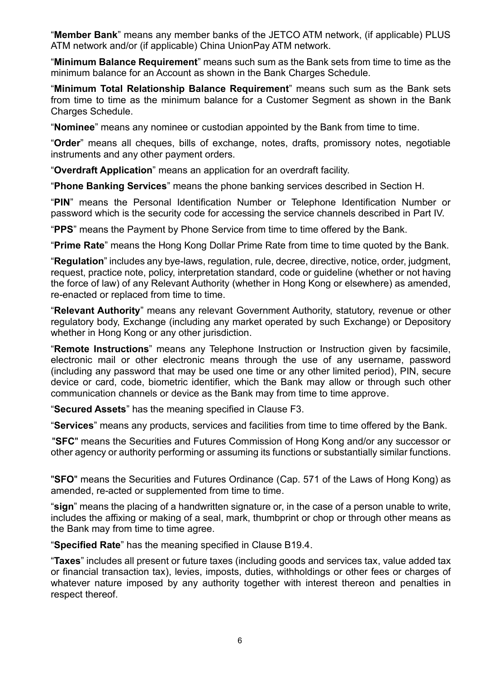"**Member Bank**" means any member banks of the JETCO ATM network, (if applicable) PLUS ATM network and/or (if applicable) China UnionPay ATM network.

"**Minimum Balance Requirement**" means such sum as the Bank sets from time to time as the minimum balance for an Account as shown in the Bank Charges Schedule.

"**Minimum Total Relationship Balance Requirement**" means such sum as the Bank sets from time to time as the minimum balance for a Customer Segment as shown in the Bank Charges Schedule.

"**Nominee**" means any nominee or custodian appointed by the Bank from time to time.

"**Order**" means all cheques, bills of exchange, notes, drafts, promissory notes, negotiable instruments and any other payment orders.

"**Overdraft Application**" means an application for an overdraft facility.

"**Phone Banking Services**" means the phone banking services described in Section H.

"**PIN**" means the Personal Identification Number or Telephone Identification Number or password which is the security code for accessing the service channels described in Part IV.

"**PPS**" means the Payment by Phone Service from time to time offered by the Bank.

"**Prime Rate**" means the Hong Kong Dollar Prime Rate from time to time quoted by the Bank.

"**Regulation**" includes any bye-laws, regulation, rule, decree, directive, notice, order, judgment, request, practice note, policy, interpretation standard, code or guideline (whether or not having the force of law) of any Relevant Authority (whether in Hong Kong or elsewhere) as amended, re-enacted or replaced from time to time.

"**Relevant Authority**" means any relevant Government Authority, statutory, revenue or other regulatory body, Exchange (including any market operated by such Exchange) or Depository whether in Hong Kong or any other jurisdiction.

"**Remote Instructions**" means any Telephone Instruction or Instruction given by facsimile, electronic mail or other electronic means through the use of any username, password (including any password that may be used one time or any other limited period), PIN, secure device or card, code, biometric identifier, which the Bank may allow or through such other communication channels or device as the Bank may from time to time approve.

"**Secured Assets**" has the meaning specified in Clause F3.

"**Services**" means any products, services and facilities from time to time offered by the Bank.

 "**SFC**" means the Securities and Futures Commission of Hong Kong and/or any successor or other agency or authority performing or assuming its functions or substantially similar functions.

"**SFO**" means the Securities and Futures Ordinance (Cap. 571 of the Laws of Hong Kong) as amended, re-acted or supplemented from time to time.

"**sign**" means the placing of a handwritten signature or, in the case of a person unable to write, includes the affixing or making of a seal, mark, thumbprint or chop or through other means as the Bank may from time to time agree.

"**Specified Rate**" has the meaning specified in Clause B19.4.

"**Taxes**" includes all present or future taxes (including goods and services tax, value added tax or financial transaction tax), levies, imposts, duties, withholdings or other fees or charges of whatever nature imposed by any authority together with interest thereon and penalties in respect thereof.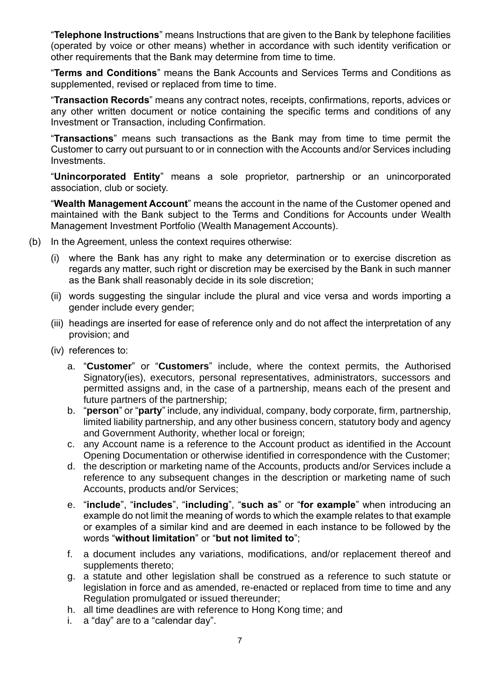"**Telephone Instructions**" means Instructions that are given to the Bank by telephone facilities (operated by voice or other means) whether in accordance with such identity verification or other requirements that the Bank may determine from time to time.

"**Terms and Conditions**" means the Bank Accounts and Services Terms and Conditions as supplemented, revised or replaced from time to time.

"**Transaction Records**" means any contract notes, receipts, confirmations, reports, advices or any other written document or notice containing the specific terms and conditions of any Investment or Transaction, including Confirmation.

"**Transactions**" means such transactions as the Bank may from time to time permit the Customer to carry out pursuant to or in connection with the Accounts and/or Services including Investments.

"**Unincorporated Entity**" means a sole proprietor, partnership or an unincorporated association, club or society.

"**Wealth Management Account**" means the account in the name of the Customer opened and maintained with the Bank subject to the Terms and Conditions for Accounts under Wealth Management Investment Portfolio (Wealth Management Accounts).

- (b) In the Agreement, unless the context requires otherwise:
	- (i) where the Bank has any right to make any determination or to exercise discretion as regards any matter, such right or discretion may be exercised by the Bank in such manner as the Bank shall reasonably decide in its sole discretion;
	- (ii) words suggesting the singular include the plural and vice versa and words importing a gender include every gender;
	- (iii) headings are inserted for ease of reference only and do not affect the interpretation of any provision; and
	- (iv) references to:
		- a. "**Customer**" or "**Customers**" include, where the context permits, the Authorised Signatory(ies), executors, personal representatives, administrators, successors and permitted assigns and, in the case of a partnership, means each of the present and future partners of the partnership;
		- b. "**person**" or "**party**" include, any individual, company, body corporate, firm, partnership, limited liability partnership, and any other business concern, statutory body and agency and Government Authority, whether local or foreign;
		- c. any Account name is a reference to the Account product as identified in the Account Opening Documentation or otherwise identified in correspondence with the Customer;
		- d. the description or marketing name of the Accounts, products and/or Services include a reference to any subsequent changes in the description or marketing name of such Accounts, products and/or Services;
		- e. "**include**", "**includes**", "**including**", "**such as**" or "**for example**" when introducing an example do not limit the meaning of words to which the example relates to that example or examples of a similar kind and are deemed in each instance to be followed by the words "**without limitation**" or "**but not limited to**";
		- f. a document includes any variations, modifications, and/or replacement thereof and supplements thereto;
		- g. a statute and other legislation shall be construed as a reference to such statute or legislation in force and as amended, re-enacted or replaced from time to time and any Regulation promulgated or issued thereunder;
		- h. all time deadlines are with reference to Hong Kong time; and
		- i. a "day" are to a "calendar day".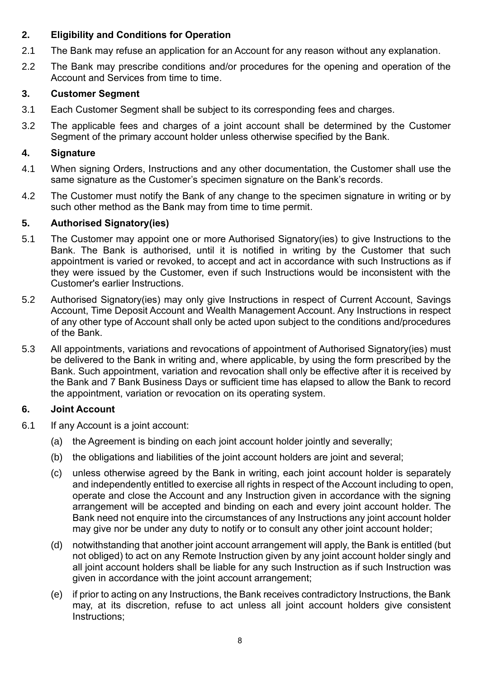#### **2. Eligibility and Conditions for Operation**

- 2.1 The Bank may refuse an application for an Account for any reason without any explanation.
- 2.2 The Bank may prescribe conditions and/or procedures for the opening and operation of the Account and Services from time to time.

### **3. Customer Segment**

- 3.1 Each Customer Segment shall be subject to its corresponding fees and charges.
- 3.2 The applicable fees and charges of a joint account shall be determined by the Customer Segment of the primary account holder unless otherwise specified by the Bank.

#### **4. Signature**

- 4.1 When signing Orders, Instructions and any other documentation, the Customer shall use the same signature as the Customer's specimen signature on the Bank's records.
- 4.2 The Customer must notify the Bank of any change to the specimen signature in writing or by such other method as the Bank may from time to time permit.

#### **5. Authorised Signatory(ies)**

- 5.1 The Customer may appoint one or more Authorised Signatory(ies) to give Instructions to the Bank. The Bank is authorised, until it is notified in writing by the Customer that such appointment is varied or revoked, to accept and act in accordance with such Instructions as if they were issued by the Customer, even if such Instructions would be inconsistent with the Customer's earlier Instructions.
- 5.2 Authorised Signatory(ies) may only give Instructions in respect of Current Account, Savings Account, Time Deposit Account and Wealth Management Account. Any Instructions in respect of any other type of Account shall only be acted upon subject to the conditions and/procedures of the Bank.
- 5.3 All appointments, variations and revocations of appointment of Authorised Signatory(ies) must be delivered to the Bank in writing and, where applicable, by using the form prescribed by the Bank. Such appointment, variation and revocation shall only be effective after it is received by the Bank and 7 Bank Business Days or sufficient time has elapsed to allow the Bank to record the appointment, variation or revocation on its operating system.

#### **6. Joint Account**

- 6.1 If any Account is a joint account:
	- (a) the Agreement is binding on each joint account holder jointly and severally;
	- (b) the obligations and liabilities of the joint account holders are joint and several;
	- (c) unless otherwise agreed by the Bank in writing, each joint account holder is separately and independently entitled to exercise all rights in respect of the Account including to open, operate and close the Account and any Instruction given in accordance with the signing arrangement will be accepted and binding on each and every joint account holder. The Bank need not enquire into the circumstances of any Instructions any joint account holder may give nor be under any duty to notify or to consult any other joint account holder;
	- (d) notwithstanding that another joint account arrangement will apply, the Bank is entitled (but not obliged) to act on any Remote Instruction given by any joint account holder singly and all joint account holders shall be liable for any such Instruction as if such Instruction was given in accordance with the joint account arrangement;
	- (e) if prior to acting on any Instructions, the Bank receives contradictory Instructions, the Bank may, at its discretion, refuse to act unless all joint account holders give consistent Instructions;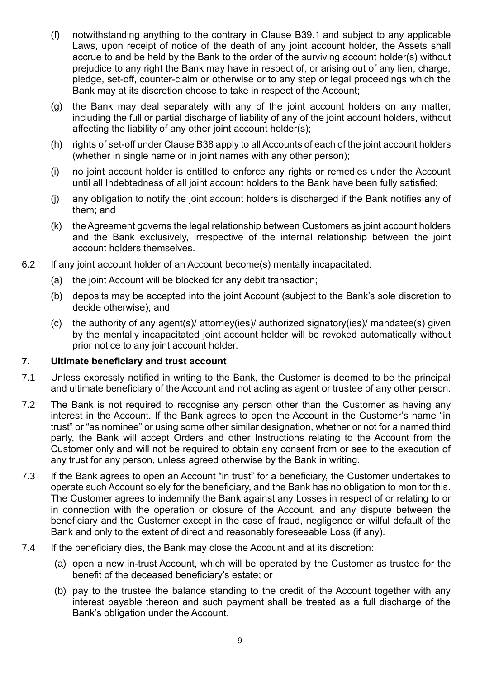- <span id="page-10-0"></span>(f) notwithstanding anything to the contrary in Clause [B39.1](#page-24-0) and subject to any applicable Laws, upon receipt of notice of the death of any joint account holder, the Assets shall accrue to and be held by the Bank to the order of the surviving account holder(s) without prejudice to any right the Bank may have in respect of, or arising out of any lien, charge, pledge, set-off, counter-claim or otherwise or to any step or legal proceedings which the Bank may at its discretion choose to take in respect of the Account;
- (g) the Bank may deal separately with any of the joint account holders on any matter, including the full or partial discharge of liability of any of the joint account holders, without affecting the liability of any other joint account holder(s);
- (h) rights of set-off under Clause [B38](#page-23-0) apply to all Accounts of each of the joint account holders (whether in single name or in joint names with any other person);
- (i) no joint account holder is entitled to enforce any rights or remedies under the Account until all Indebtedness of all joint account holders to the Bank have been fully satisfied;
- (j) any obligation to notify the joint account holders is discharged if the Bank notifies any of them; and
- (k) the Agreement governs the legal relationship between Customers as joint account holders and the Bank exclusively, irrespective of the internal relationship between the joint account holders themselves.
- 6.2 If any joint account holder of an Account become(s) mentally incapacitated:
	- (a) the joint Account will be blocked for any debit transaction;
	- (b) deposits may be accepted into the joint Account (subject to the Bank's sole discretion to decide otherwise); and
	- (c) the authority of any agent(s)/ attorney(ies)/ authorized signatory(ies)/ mandatee(s) given by the mentally incapacitated joint account holder will be revoked automatically without prior notice to any joint account holder.

#### **7. Ultimate beneficiary and trust account**

- 7.1 Unless expressly notified in writing to the Bank, the Customer is deemed to be the principal and ultimate beneficiary of the Account and not acting as agent or trustee of any other person.
- 7.2 The Bank is not required to recognise any person other than the Customer as having any interest in the Account. If the Bank agrees to open the Account in the Customer's name "in trust" or "as nominee" or using some other similar designation, whether or not for a named third party, the Bank will accept Orders and other Instructions relating to the Account from the Customer only and will not be required to obtain any consent from or see to the execution of any trust for any person, unless agreed otherwise by the Bank in writing.
- 7.3 If the Bank agrees to open an Account "in trust" for a beneficiary, the Customer undertakes to operate such Account solely for the beneficiary, and the Bank has no obligation to monitor this. The Customer agrees to indemnify the Bank against any Losses in respect of or relating to or in connection with the operation or closure of the Account, and any dispute between the beneficiary and the Customer except in the case of fraud, negligence or wilful default of the Bank and only to the extent of direct and reasonably foreseeable Loss (if any).
- 7.4 If the beneficiary dies, the Bank may close the Account and at its discretion:
	- (a) open a new in-trust Account, which will be operated by the Customer as trustee for the benefit of the deceased beneficiary's estate; or
	- (b) pay to the trustee the balance standing to the credit of the Account together with any interest payable thereon and such payment shall be treated as a full discharge of the Bank's obligation under the Account.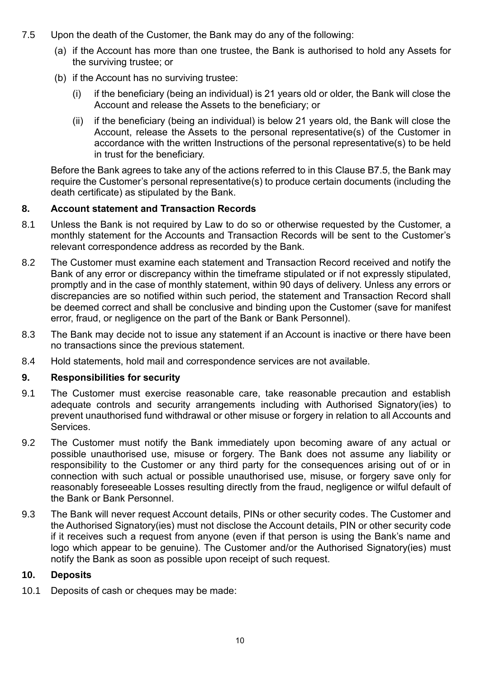- <span id="page-11-0"></span>7.5 Upon the death of the Customer, the Bank may do any of the following:
	- (a) if the Account has more than one trustee, the Bank is authorised to hold any Assets for the surviving trustee; or
	- (b) if the Account has no surviving trustee:
		- (i) if the beneficiary (being an individual) is 21 years old or older, the Bank will close the Account and release the Assets to the beneficiary; or
		- (ii) if the beneficiary (being an individual) is below 21 years old, the Bank will close the Account, release the Assets to the personal representative(s) of the Customer in accordance with the written Instructions of the personal representative(s) to be held in trust for the beneficiary.

Before the Bank agrees to take any of the actions referred to in this Clause [B7.5,](#page-11-0) the Bank may require the Customer's personal representative(s) to produce certain documents (including the death certificate) as stipulated by the Bank.

#### **8. Account statement and Transaction Records**

- 8.1 Unless the Bank is not required by Law to do so or otherwise requested by the Customer, a monthly statement for the Accounts and Transaction Records will be sent to the Customer's relevant correspondence address as recorded by the Bank.
- 8.2 The Customer must examine each statement and Transaction Record received and notify the Bank of any error or discrepancy within the timeframe stipulated or if not expressly stipulated, promptly and in the case of monthly statement, within 90 days of delivery. Unless any errors or discrepancies are so notified within such period, the statement and Transaction Record shall be deemed correct and shall be conclusive and binding upon the Customer (save for manifest error, fraud, or negligence on the part of the Bank or Bank Personnel).
- 8.3 The Bank may decide not to issue any statement if an Account is inactive or there have been no transactions since the previous statement.
- 8.4 Hold statements, hold mail and correspondence services are not available.

#### **9. Responsibilities for security**

- 9.1 The Customer must exercise reasonable care, take reasonable precaution and establish adequate controls and security arrangements including with Authorised Signatory(ies) to prevent unauthorised fund withdrawal or other misuse or forgery in relation to all Accounts and Services.
- 9.2 The Customer must notify the Bank immediately upon becoming aware of any actual or possible unauthorised use, misuse or forgery. The Bank does not assume any liability or responsibility to the Customer or any third party for the consequences arising out of or in connection with such actual or possible unauthorised use, misuse, or forgery save only for reasonably foreseeable Losses resulting directly from the fraud, negligence or wilful default of the Bank or Bank Personnel.
- 9.3 The Bank will never request Account details, PINs or other security codes. The Customer and the Authorised Signatory(ies) must not disclose the Account details, PIN or other security code if it receives such a request from anyone (even if that person is using the Bank's name and logo which appear to be genuine). The Customer and/or the Authorised Signatory(ies) must notify the Bank as soon as possible upon receipt of such request.

#### **10. Deposits**

10.1 Deposits of cash or cheques may be made: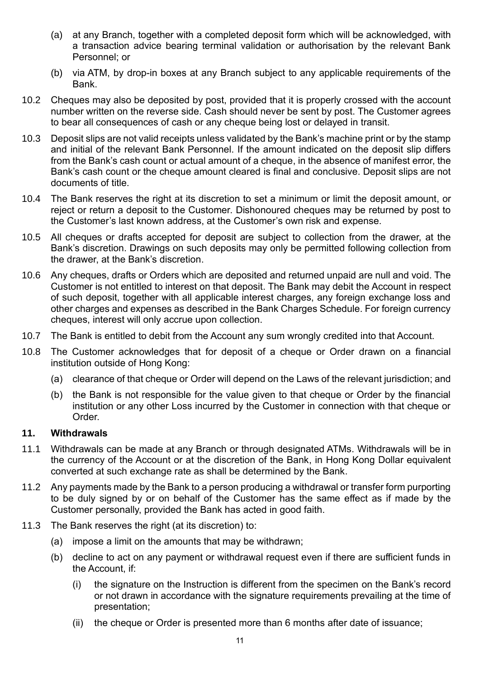- (a) at any Branch, together with a completed deposit form which will be acknowledged, with a transaction advice bearing terminal validation or authorisation by the relevant Bank Personnel; or
- (b) via ATM, by drop-in boxes at any Branch subject to any applicable requirements of the Bank.
- 10.2 Cheques may also be deposited by post, provided that it is properly crossed with the account number written on the reverse side. Cash should never be sent by post. The Customer agrees to bear all consequences of cash or any cheque being lost or delayed in transit.
- 10.3 Deposit slips are not valid receipts unless validated by the Bank's machine print or by the stamp and initial of the relevant Bank Personnel. If the amount indicated on the deposit slip differs from the Bank's cash count or actual amount of a cheque, in the absence of manifest error, the Bank's cash count or the cheque amount cleared is final and conclusive. Deposit slips are not documents of title.
- 10.4 The Bank reserves the right at its discretion to set a minimum or limit the deposit amount, or reject or return a deposit to the Customer. Dishonoured cheques may be returned by post to the Customer's last known address, at the Customer's own risk and expense.
- 10.5 All cheques or drafts accepted for deposit are subject to collection from the drawer, at the Bank's discretion. Drawings on such deposits may only be permitted following collection from the drawer, at the Bank's discretion.
- 10.6 Any cheques, drafts or Orders which are deposited and returned unpaid are null and void. The Customer is not entitled to interest on that deposit. The Bank may debit the Account in respect of such deposit, together with all applicable interest charges, any foreign exchange loss and other charges and expenses as described in the Bank Charges Schedule. For foreign currency cheques, interest will only accrue upon collection.
- 10.7 The Bank is entitled to debit from the Account any sum wrongly credited into that Account.
- 10.8 The Customer acknowledges that for deposit of a cheque or Order drawn on a financial institution outside of Hong Kong:
	- (a) clearance of that cheque or Order will depend on the Laws of the relevant jurisdiction; and
	- (b) the Bank is not responsible for the value given to that cheque or Order by the financial institution or any other Loss incurred by the Customer in connection with that cheque or Order.

#### **11. Withdrawals**

- 11.1 Withdrawals can be made at any Branch or through designated ATMs. Withdrawals will be in the currency of the Account or at the discretion of the Bank, in Hong Kong Dollar equivalent converted at such exchange rate as shall be determined by the Bank.
- 11.2 Any payments made by the Bank to a person producing a withdrawal or transfer form purporting to be duly signed by or on behalf of the Customer has the same effect as if made by the Customer personally, provided the Bank has acted in good faith.
- 11.3 The Bank reserves the right (at its discretion) to:
	- (a) impose a limit on the amounts that may be withdrawn;
	- (b) decline to act on any payment or withdrawal request even if there are sufficient funds in the Account, if:
		- (i) the signature on the Instruction is different from the specimen on the Bank's record or not drawn in accordance with the signature requirements prevailing at the time of presentation;
		- (ii) the cheque or Order is presented more than 6 months after date of issuance;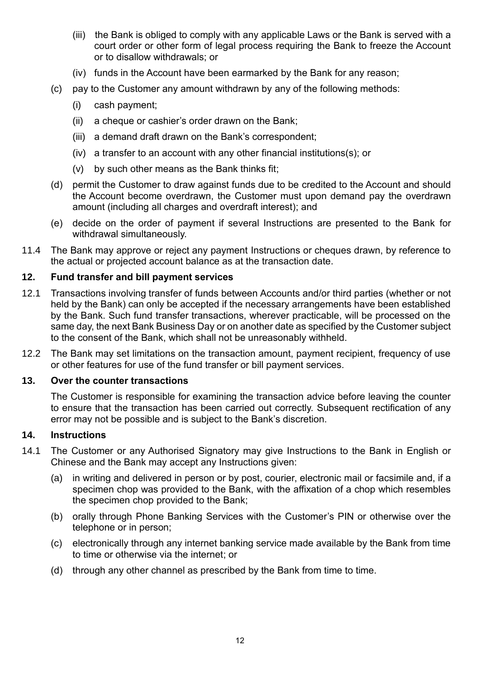- (iii) the Bank is obliged to comply with any applicable Laws or the Bank is served with a court order or other form of legal process requiring the Bank to freeze the Account or to disallow withdrawals; or
- (iv) funds in the Account have been earmarked by the Bank for any reason;
- (c) pay to the Customer any amount withdrawn by any of the following methods:
	- (i) cash payment;
	- (ii) a cheque or cashier's order drawn on the Bank;
	- (iii) a demand draft drawn on the Bank's correspondent;
	- (iv) a transfer to an account with any other financial institutions(s); or
	- (v) by such other means as the Bank thinks fit;
- (d) permit the Customer to draw against funds due to be credited to the Account and should the Account become overdrawn, the Customer must upon demand pay the overdrawn amount (including all charges and overdraft interest); and
- (e) decide on the order of payment if several Instructions are presented to the Bank for withdrawal simultaneously.
- 11.4 The Bank may approve or reject any payment Instructions or cheques drawn, by reference to the actual or projected account balance as at the transaction date.

#### **12. Fund transfer and bill payment services**

- 12.1 Transactions involving transfer of funds between Accounts and/or third parties (whether or not held by the Bank) can only be accepted if the necessary arrangements have been established by the Bank. Such fund transfer transactions, wherever practicable, will be processed on the same day, the next Bank Business Day or on another date as specified by the Customer subject to the consent of the Bank, which shall not be unreasonably withheld.
- 12.2 The Bank may set limitations on the transaction amount, payment recipient, frequency of use or other features for use of the fund transfer or bill payment services.

#### **13. Over the counter transactions**

The Customer is responsible for examining the transaction advice before leaving the counter to ensure that the transaction has been carried out correctly. Subsequent rectification of any error may not be possible and is subject to the Bank's discretion.

#### **14. Instructions**

- 14.1 The Customer or any Authorised Signatory may give Instructions to the Bank in English or Chinese and the Bank may accept any Instructions given:
	- (a) in writing and delivered in person or by post, courier, electronic mail or facsimile and, if a specimen chop was provided to the Bank, with the affixation of a chop which resembles the specimen chop provided to the Bank;
	- (b) orally through Phone Banking Services with the Customer's PIN or otherwise over the telephone or in person;
	- (c) electronically through any internet banking service made available by the Bank from time to time or otherwise via the internet; or
	- (d) through any other channel as prescribed by the Bank from time to time.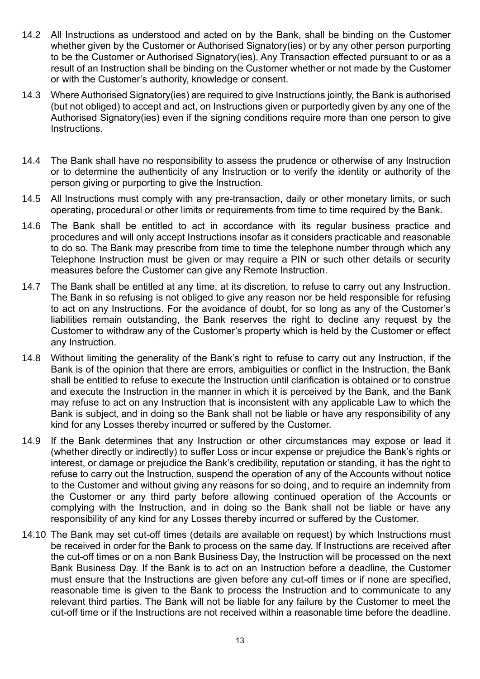- 14.2 All Instructions as understood and acted on by the Bank, shall be binding on the Customer whether given by the Customer or Authorised Signatory(ies) or by any other person purporting to be the Customer or Authorised Signatory(ies). Any Transaction effected pursuant to or as a result of an Instruction shall be binding on the Customer whether or not made by the Customer or with the Customer's authority, knowledge or consent.
- 14.3 Where Authorised Signatory(ies) are required to give Instructions jointly, the Bank is authorised (but not obliged) to accept and act, on Instructions given or purportedly given by any one of the Authorised Signatory(ies) even if the signing conditions require more than one person to give Instructions.
- 14.4 The Bank shall have no responsibility to assess the prudence or otherwise of any Instruction or to determine the authenticity of any Instruction or to verify the identity or authority of the person giving or purporting to give the Instruction.
- 14.5 All Instructions must comply with any pre-transaction, daily or other monetary limits, or such operating, procedural or other limits or requirements from time to time required by the Bank.
- 14.6 The Bank shall be entitled to act in accordance with its regular business practice and procedures and will only accept Instructions insofar as it considers practicable and reasonable to do so. The Bank may prescribe from time to time the telephone number through which any Telephone Instruction must be given or may require a PIN or such other details or security measures before the Customer can give any Remote Instruction.
- 14.7 The Bank shall be entitled at any time, at its discretion, to refuse to carry out any Instruction. The Bank in so refusing is not obliged to give any reason nor be held responsible for refusing to act on any Instructions. For the avoidance of doubt, for so long as any of the Customer's liabilities remain outstanding, the Bank reserves the right to decline any request by the Customer to withdraw any of the Customer's property which is held by the Customer or effect any Instruction.
- 14.8 Without limiting the generality of the Bank's right to refuse to carry out any Instruction, if the Bank is of the opinion that there are errors, ambiguities or conflict in the Instruction, the Bank shall be entitled to refuse to execute the Instruction until clarification is obtained or to construe and execute the Instruction in the manner in which it is perceived by the Bank, and the Bank may refuse to act on any Instruction that is inconsistent with any applicable Law to which the Bank is subject, and in doing so the Bank shall not be liable or have any responsibility of any kind for any Losses thereby incurred or suffered by the Customer.
- 14.9 If the Bank determines that any Instruction or other circumstances may expose or lead it (whether directly or indirectly) to suffer Loss or incur expense or prejudice the Bank's rights or interest, or damage or prejudice the Bank's credibility, reputation or standing, it has the right to refuse to carry out the Instruction, suspend the operation of any of the Accounts without notice to the Customer and without giving any reasons for so doing, and to require an indemnity from the Customer or any third party before allowing continued operation of the Accounts or complying with the Instruction, and in doing so the Bank shall not be liable or have any responsibility of any kind for any Losses thereby incurred or suffered by the Customer.
- 14.10 The Bank may set cut-off times (details are available on request) by which Instructions must be received in order for the Bank to process on the same day. If Instructions are received after the cut-off times or on a non Bank Business Day, the Instruction will be processed on the next Bank Business Day. If the Bank is to act on an Instruction before a deadline, the Customer must ensure that the Instructions are given before any cut-off times or if none are specified, reasonable time is given to the Bank to process the Instruction and to communicate to any relevant third parties. The Bank will not be liable for any failure by the Customer to meet the cut-off time or if the Instructions are not received within a reasonable time before the deadline.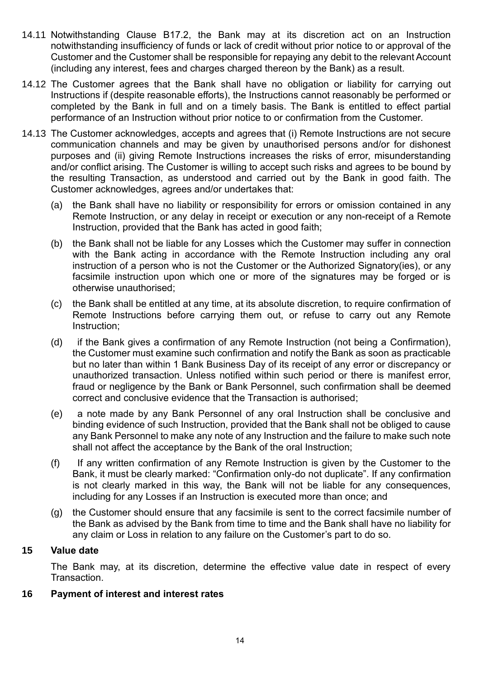- 14.11 Notwithstanding Clause [B17.2,](#page-16-0) the Bank may at its discretion act on an Instruction notwithstanding insufficiency of funds or lack of credit without prior notice to or approval of the Customer and the Customer shall be responsible for repaying any debit to the relevant Account (including any interest, fees and charges charged thereon by the Bank) as a result.
- 14.12 The Customer agrees that the Bank shall have no obligation or liability for carrying out Instructions if (despite reasonable efforts), the Instructions cannot reasonably be performed or completed by the Bank in full and on a timely basis. The Bank is entitled to effect partial performance of an Instruction without prior notice to or confirmation from the Customer.
- 14.13 The Customer acknowledges, accepts and agrees that (i) Remote Instructions are not secure communication channels and may be given by unauthorised persons and/or for dishonest purposes and (ii) giving Remote Instructions increases the risks of error, misunderstanding and/or conflict arising. The Customer is willing to accept such risks and agrees to be bound by the resulting Transaction, as understood and carried out by the Bank in good faith. The Customer acknowledges, agrees and/or undertakes that:
	- (a) the Bank shall have no liability or responsibility for errors or omission contained in any Remote Instruction, or any delay in receipt or execution or any non-receipt of a Remote Instruction, provided that the Bank has acted in good faith;
	- (b) the Bank shall not be liable for any Losses which the Customer may suffer in connection with the Bank acting in accordance with the Remote Instruction including any oral instruction of a person who is not the Customer or the Authorized Signatory(ies), or any facsimile instruction upon which one or more of the signatures may be forged or is otherwise unauthorised;
	- (c) the Bank shall be entitled at any time, at its absolute discretion, to require confirmation of Remote Instructions before carrying them out, or refuse to carry out any Remote Instruction;
	- (d) if the Bank gives a confirmation of any Remote Instruction (not being a Confirmation), the Customer must examine such confirmation and notify the Bank as soon as practicable but no later than within 1 Bank Business Day of its receipt of any error or discrepancy or unauthorized transaction. Unless notified within such period or there is manifest error, fraud or negligence by the Bank or Bank Personnel, such confirmation shall be deemed correct and conclusive evidence that the Transaction is authorised;
	- (e) a note made by any Bank Personnel of any oral Instruction shall be conclusive and binding evidence of such Instruction, provided that the Bank shall not be obliged to cause any Bank Personnel to make any note of any Instruction and the failure to make such note shall not affect the acceptance by the Bank of the oral Instruction;
	- (f) If any written confirmation of any Remote Instruction is given by the Customer to the Bank, it must be clearly marked: "Confirmation only-do not duplicate". If any confirmation is not clearly marked in this way, the Bank will not be liable for any consequences, including for any Losses if an Instruction is executed more than once; and
	- (g) the Customer should ensure that any facsimile is sent to the correct facsimile number of the Bank as advised by the Bank from time to time and the Bank shall have no liability for any claim or Loss in relation to any failure on the Customer's part to do so.

#### **15 Value date**

The Bank may, at its discretion, determine the effective value date in respect of every Transaction.

#### **16 Payment of interest and interest rates**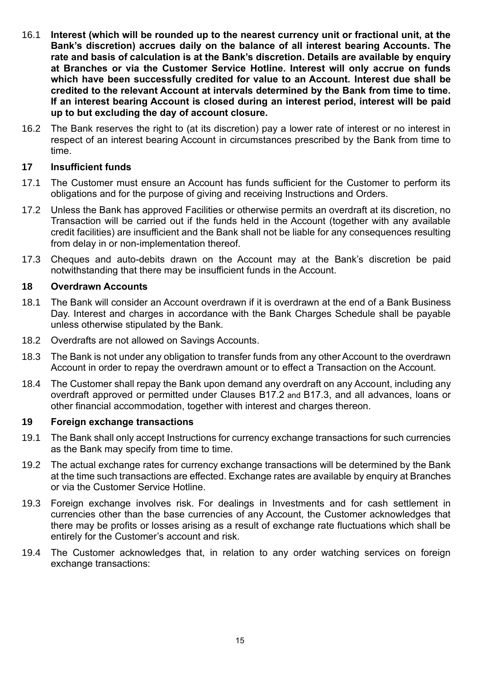- 16.1 **Interest (which will be rounded up to the nearest currency unit or fractional unit, at the Bank's discretion) accrues daily on the balance of all interest bearing Accounts. The rate and basis of calculation is at the Bank's discretion. Details are available by enquiry at Branches or via the Customer Service Hotline. Interest will only accrue on funds which have been successfully credited for value to an Account. Interest due shall be credited to the relevant Account at intervals determined by the Bank from time to time. If an interest bearing Account is closed during an interest period, interest will be paid up to but excluding the day of account closure.**
- 16.2 The Bank reserves the right to (at its discretion) pay a lower rate of interest or no interest in respect of an interest bearing Account in circumstances prescribed by the Bank from time to time.

#### **17 Insufficient funds**

- 17.1 The Customer must ensure an Account has funds sufficient for the Customer to perform its obligations and for the purpose of giving and receiving Instructions and Orders.
- <span id="page-16-0"></span>17.2 Unless the Bank has approved Facilities or otherwise permits an overdraft at its discretion, no Transaction will be carried out if the funds held in the Account (together with any available credit facilities) are insufficient and the Bank shall not be liable for any consequences resulting from delay in or non-implementation thereof.
- 17.3 Cheques and auto-debits drawn on the Account may at the Bank's discretion be paid notwithstanding that there may be insufficient funds in the Account.

#### <span id="page-16-1"></span>**18 Overdrawn Accounts**

- 18.1 The Bank will consider an Account overdrawn if it is overdrawn at the end of a Bank Business Day. Interest and charges in accordance with the Bank Charges Schedule shall be payable unless otherwise stipulated by the Bank.
- 18.2 Overdrafts are not allowed on Savings Accounts.
- 18.3 The Bank is not under any obligation to transfer funds from any other Account to the overdrawn Account in order to repay the overdrawn amount or to effect a Transaction on the Account.
- <span id="page-16-2"></span>18.4 The Customer shall repay the Bank upon demand any overdraft on any Account, including any overdraft approved or permitted under Clauses [B17.2](#page-16-0) and B17.3, and all advances, loans or other financial accommodation, together with interest and charges thereon.

#### **19 Foreign exchange transactions**

- 19.1 The Bank shall only accept Instructions for currency exchange transactions for such currencies as the Bank may specify from time to time.
- 19.2 The actual exchange rates for currency exchange transactions will be determined by the Bank at the time such transactions are effected. Exchange rates are available by enquiry at Branches or via the Customer Service Hotline.
- 19.3 Foreign exchange involves risk. For dealings in Investments and for cash settlement in currencies other than the base currencies of any Account, the Customer acknowledges that there may be profits or losses arising as a result of exchange rate fluctuations which shall be entirely for the Customer's account and risk.
- 19.4 The Customer acknowledges that, in relation to any order watching services on foreign exchange transactions: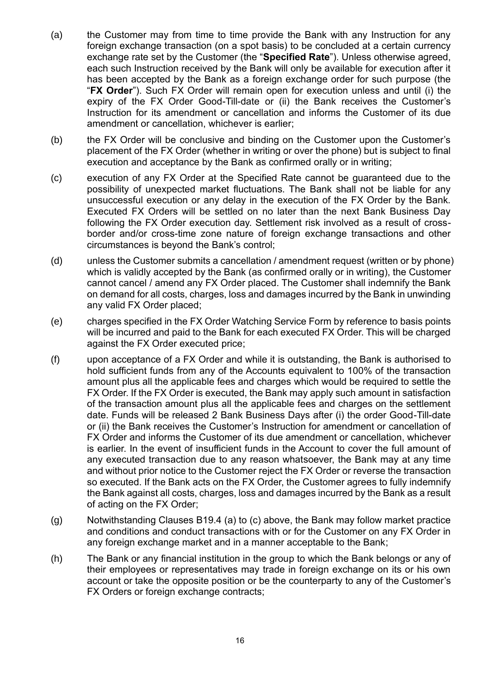- (a) the Customer may from time to time provide the Bank with any Instruction for any foreign exchange transaction (on a spot basis) to be concluded at a certain currency exchange rate set by the Customer (the "**Specified Rate**"). Unless otherwise agreed, each such Instruction received by the Bank will only be available for execution after it has been accepted by the Bank as a foreign exchange order for such purpose (the "**FX Order**"). Such FX Order will remain open for execution unless and until (i) the expiry of the FX Order Good-Till-date or (ii) the Bank receives the Customer's Instruction for its amendment or cancellation and informs the Customer of its due amendment or cancellation, whichever is earlier;
- (b) the FX Order will be conclusive and binding on the Customer upon the Customer's placement of the FX Order (whether in writing or over the phone) but is subject to final execution and acceptance by the Bank as confirmed orally or in writing;
- (c) execution of any FX Order at the Specified Rate cannot be guaranteed due to the possibility of unexpected market fluctuations. The Bank shall not be liable for any unsuccessful execution or any delay in the execution of the FX Order by the Bank. Executed FX Orders will be settled on no later than the next Bank Business Day following the FX Order execution day. Settlement risk involved as a result of crossborder and/or cross-time zone nature of foreign exchange transactions and other circumstances is beyond the Bank's control;
- (d) unless the Customer submits a cancellation / amendment request (written or by phone) which is validly accepted by the Bank (as confirmed orally or in writing), the Customer cannot cancel / amend any FX Order placed. The Customer shall indemnify the Bank on demand for all costs, charges, loss and damages incurred by the Bank in unwinding any valid FX Order placed;
- (e) charges specified in the FX Order Watching Service Form by reference to basis points will be incurred and paid to the Bank for each executed FX Order. This will be charged against the FX Order executed price;
- (f) upon acceptance of a FX Order and while it is outstanding, the Bank is authorised to hold sufficient funds from any of the Accounts equivalent to 100% of the transaction amount plus all the applicable fees and charges which would be required to settle the FX Order. If the FX Order is executed, the Bank may apply such amount in satisfaction of the transaction amount plus all the applicable fees and charges on the settlement date. Funds will be released 2 Bank Business Days after (i) the order Good-Till-date or (ii) the Bank receives the Customer's Instruction for amendment or cancellation of FX Order and informs the Customer of its due amendment or cancellation, whichever is earlier. In the event of insufficient funds in the Account to cover the full amount of any executed transaction due to any reason whatsoever, the Bank may at any time and without prior notice to the Customer reject the FX Order or reverse the transaction so executed. If the Bank acts on the FX Order, the Customer agrees to fully indemnify the Bank against all costs, charges, loss and damages incurred by the Bank as a result of acting on the FX Order;
- (g) Notwithstanding Clauses B19.4 (a) to (c) above, the Bank may follow market practice and conditions and conduct transactions with or for the Customer on any FX Order in any foreign exchange market and in a manner acceptable to the Bank;
- (h) The Bank or any financial institution in the group to which the Bank belongs or any of their employees or representatives may trade in foreign exchange on its or his own account or take the opposite position or be the counterparty to any of the Customer's FX Orders or foreign exchange contracts;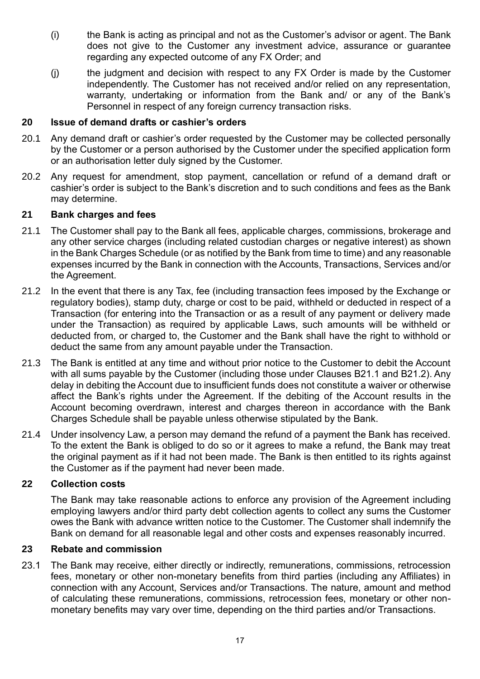- (i) the Bank is acting as principal and not as the Customer's advisor or agent. The Bank does not give to the Customer any investment advice, assurance or guarantee regarding any expected outcome of any FX Order; and
- (j) the judgment and decision with respect to any FX Order is made by the Customer independently. The Customer has not received and/or relied on any representation, warranty, undertaking or information from the Bank and/ or any of the Bank's Personnel in respect of any foreign currency transaction risks.

#### **20 Issue of demand drafts or cashier's orders**

- 20.1 Any demand draft or cashier's order requested by the Customer may be collected personally by the Customer or a person authorised by the Customer under the specified application form or an authorisation letter duly signed by the Customer.
- 20.2 Any request for amendment, stop payment, cancellation or refund of a demand draft or cashier's order is subject to the Bank's discretion and to such conditions and fees as the Bank may determine.

#### **21 Bank charges and fees**

- <span id="page-18-0"></span>21.1 The Customer shall pay to the Bank all fees, applicable charges, commissions, brokerage and any other service charges (including related custodian charges or negative interest) as shown in the Bank Charges Schedule (or as notified by the Bank from time to time) and any reasonable expenses incurred by the Bank in connection with the Accounts, Transactions, Services and/or the Agreement.
- <span id="page-18-1"></span>21.2 In the event that there is any Tax, fee (including transaction fees imposed by the Exchange or regulatory bodies), stamp duty, charge or cost to be paid, withheld or deducted in respect of a Transaction (for entering into the Transaction or as a result of any payment or delivery made under the Transaction) as required by applicable Laws, such amounts will be withheld or deducted from, or charged to, the Customer and the Bank shall have the right to withhold or deduct the same from any amount payable under the Transaction.
- 21.3 The Bank is entitled at any time and without prior notice to the Customer to debit the Account with all sums payable by the Customer (including those under Clauses [B21.1](#page-18-0) and [B21.2\)](#page-18-1). Any delay in debiting the Account due to insufficient funds does not constitute a waiver or otherwise affect the Bank's rights under the Agreement. If the debiting of the Account results in the Account becoming overdrawn, interest and charges thereon in accordance with the Bank Charges Schedule shall be payable unless otherwise stipulated by the Bank.
- 21.4 Under insolvency Law, a person may demand the refund of a payment the Bank has received. To the extent the Bank is obliged to do so or it agrees to make a refund, the Bank may treat the original payment as if it had not been made. The Bank is then entitled to its rights against the Customer as if the payment had never been made.

#### **22 Collection costs**

The Bank may take reasonable actions to enforce any provision of the Agreement including employing lawyers and/or third party debt collection agents to collect any sums the Customer owes the Bank with advance written notice to the Customer. The Customer shall indemnify the Bank on demand for all reasonable legal and other costs and expenses reasonably incurred.

#### **23 Rebate and commission**

23.1 The Bank may receive, either directly or indirectly, remunerations, commissions, retrocession fees, monetary or other non-monetary benefits from third parties (including any Affiliates) in connection with any Account, Services and/or Transactions. The nature, amount and method of calculating these remunerations, commissions, retrocession fees, monetary or other nonmonetary benefits may vary over time, depending on the third parties and/or Transactions.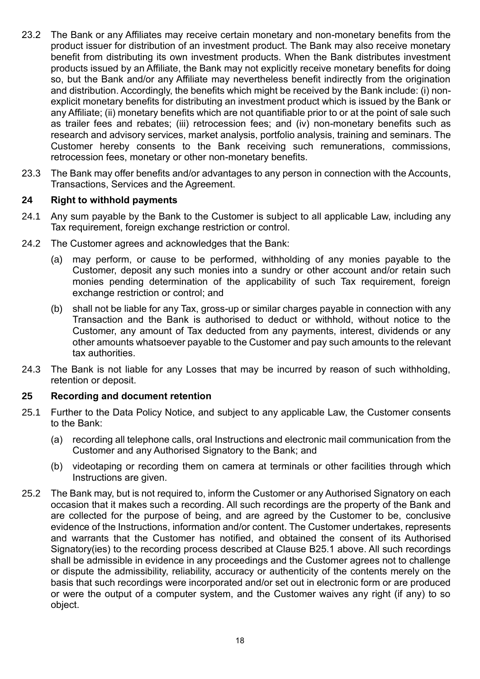- 23.2 The Bank or any Affiliates may receive certain monetary and non-monetary benefits from the product issuer for distribution of an investment product. The Bank may also receive monetary benefit from distributing its own investment products. When the Bank distributes investment products issued by an Affiliate, the Bank may not explicitly receive monetary benefits for doing so, but the Bank and/or any Affiliate may nevertheless benefit indirectly from the origination and distribution. Accordingly, the benefits which might be received by the Bank include: (i) nonexplicit monetary benefits for distributing an investment product which is issued by the Bank or any Affiliate; (ii) monetary benefits which are not quantifiable prior to or at the point of sale such as trailer fees and rebates; (iii) retrocession fees; and (iv) non-monetary benefits such as research and advisory services, market analysis, portfolio analysis, training and seminars. The Customer hereby consents to the Bank receiving such remunerations, commissions, retrocession fees, monetary or other non-monetary benefits.
- 23.3 The Bank may offer benefits and/or advantages to any person in connection with the Accounts, Transactions, Services and the Agreement.

#### **24 Right to withhold payments**

- 24.1 Any sum payable by the Bank to the Customer is subject to all applicable Law, including any Tax requirement, foreign exchange restriction or control.
- 24.2 The Customer agrees and acknowledges that the Bank:
	- (a) may perform, or cause to be performed, withholding of any monies payable to the Customer, deposit any such monies into a sundry or other account and/or retain such monies pending determination of the applicability of such Tax requirement, foreign exchange restriction or control; and
	- (b) shall not be liable for any Tax, gross-up or similar charges payable in connection with any Transaction and the Bank is authorised to deduct or withhold, without notice to the Customer, any amount of Tax deducted from any payments, interest, dividends or any other amounts whatsoever payable to the Customer and pay such amounts to the relevant tax authorities.
- 24.3 The Bank is not liable for any Losses that may be incurred by reason of such withholding, retention or deposit.

#### **25 Recording and document retention**

- 25.1 Further to the Data Policy Notice, and subject to any applicable Law, the Customer consents to the Bank:
	- (a) recording all telephone calls, oral Instructions and electronic mail communication from the Customer and any Authorised Signatory to the Bank; and
	- (b) videotaping or recording them on camera at terminals or other facilities through which Instructions are given.
- 25.2 The Bank may, but is not required to, inform the Customer or any Authorised Signatory on each occasion that it makes such a recording. All such recordings are the property of the Bank and are collected for the purpose of being, and are agreed by the Customer to be, conclusive evidence of the Instructions, information and/or content. The Customer undertakes, represents and warrants that the Customer has notified, and obtained the consent of its Authorised Signatory(ies) to the recording process described at Clause B25.1 above. All such recordings shall be admissible in evidence in any proceedings and the Customer agrees not to challenge or dispute the admissibility, reliability, accuracy or authenticity of the contents merely on the basis that such recordings were incorporated and/or set out in electronic form or are produced or were the output of a computer system, and the Customer waives any right (if any) to so object.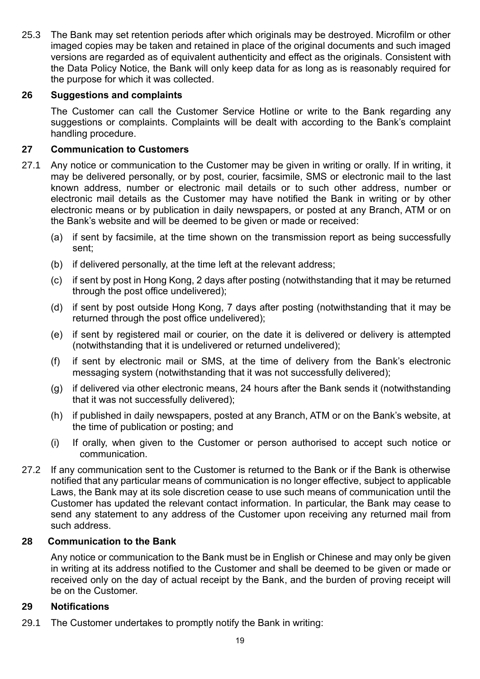25.3 The Bank may set retention periods after which originals may be destroyed. Microfilm or other imaged copies may be taken and retained in place of the original documents and such imaged versions are regarded as of equivalent authenticity and effect as the originals. Consistent with the Data Policy Notice, the Bank will only keep data for as long as is reasonably required for the purpose for which it was collected.

#### **26 Suggestions and complaints**

The Customer can call the Customer Service Hotline or write to the Bank regarding any suggestions or complaints. Complaints will be dealt with according to the Bank's complaint handling procedure.

#### **27 Communication to Customers**

- 27.1 Any notice or communication to the Customer may be given in writing or orally. If in writing, it may be delivered personally, or by post, courier, facsimile, SMS or electronic mail to the last known address, number or electronic mail details or to such other address, number or electronic mail details as the Customer may have notified the Bank in writing or by other electronic means or by publication in daily newspapers, or posted at any Branch, ATM or on the Bank's website and will be deemed to be given or made or received:
	- (a) if sent by facsimile, at the time shown on the transmission report as being successfully sent;
	- (b) if delivered personally, at the time left at the relevant address;
	- (c) if sent by post in Hong Kong, 2 days after posting (notwithstanding that it may be returned through the post office undelivered);
	- (d) if sent by post outside Hong Kong, 7 days after posting (notwithstanding that it may be returned through the post office undelivered);
	- (e) if sent by registered mail or courier, on the date it is delivered or delivery is attempted (notwithstanding that it is undelivered or returned undelivered);
	- (f) if sent by electronic mail or SMS, at the time of delivery from the Bank's electronic messaging system (notwithstanding that it was not successfully delivered);
	- (g) if delivered via other electronic means, 24 hours after the Bank sends it (notwithstanding that it was not successfully delivered);
	- (h) if published in daily newspapers, posted at any Branch, ATM or on the Bank's website, at the time of publication or posting; and
	- (i) If orally, when given to the Customer or person authorised to accept such notice or communication.
- 27.2 If any communication sent to the Customer is returned to the Bank or if the Bank is otherwise notified that any particular means of communication is no longer effective, subject to applicable Laws, the Bank may at its sole discretion cease to use such means of communication until the Customer has updated the relevant contact information. In particular, the Bank may cease to send any statement to any address of the Customer upon receiving any returned mail from such address.

#### **28 Communication to the Bank**

Any notice or communication to the Bank must be in English or Chinese and may only be given in writing at its address notified to the Customer and shall be deemed to be given or made or received only on the day of actual receipt by the Bank, and the burden of proving receipt will be on the Customer.

#### **29 Notifications**

29.1 The Customer undertakes to promptly notify the Bank in writing: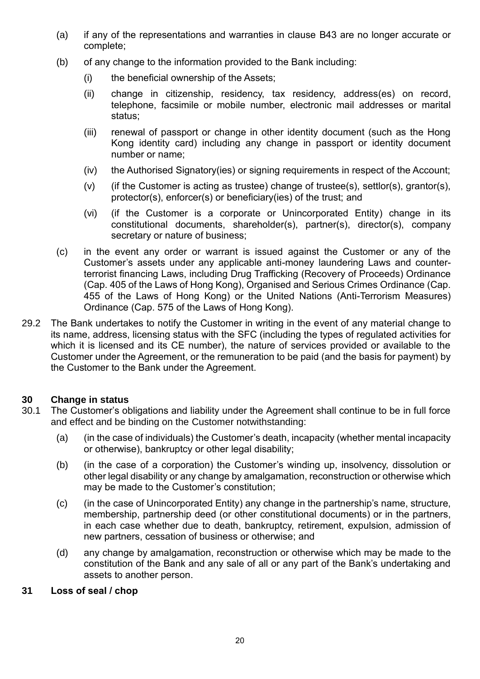- (a) if any of the representations and warranties in clause B43 are no longer accurate or complete;
- (b) of any change to the information provided to the Bank including:
	- (i) the beneficial ownership of the Assets;
	- (ii) change in citizenship, residency, tax residency, address(es) on record, telephone, facsimile or mobile number, electronic mail addresses or marital status;
	- (iii) renewal of passport or change in other identity document (such as the Hong Kong identity card) including any change in passport or identity document number or name;
	- (iv) the Authorised Signatory(ies) or signing requirements in respect of the Account;
	- (v) (if the Customer is acting as trustee) change of trustee(s), settlor(s), grantor(s), protector(s), enforcer(s) or beneficiary(ies) of the trust; and
	- (vi) (if the Customer is a corporate or Unincorporated Entity) change in its constitutional documents, shareholder(s), partner(s), director(s), company secretary or nature of business;
- (c) in the event any order or warrant is issued against the Customer or any of the Customer's assets under any applicable anti-money laundering Laws and counterterrorist financing Laws, including Drug Trafficking (Recovery of Proceeds) Ordinance (Cap. 405 of the Laws of Hong Kong), Organised and Serious Crimes Ordinance (Cap. 455 of the Laws of Hong Kong) or the United Nations (Anti-Terrorism Measures) Ordinance (Cap. 575 of the Laws of Hong Kong).
- 29.2 The Bank undertakes to notify the Customer in writing in the event of any material change to its name, address, licensing status with the SFC (including the types of regulated activities for which it is licensed and its CE number), the nature of services provided or available to the Customer under the Agreement, or the remuneration to be paid (and the basis for payment) by the Customer to the Bank under the Agreement.

#### **30 Change in status**

- 30.1 The Customer's obligations and liability under the Agreement shall continue to be in full force and effect and be binding on the Customer notwithstanding:
	- (a) (in the case of individuals) the Customer's death, incapacity (whether mental incapacity or otherwise), bankruptcy or other legal disability;
	- (b) (in the case of a corporation) the Customer's winding up, insolvency, dissolution or other legal disability or any change by amalgamation, reconstruction or otherwise which may be made to the Customer's constitution;
	- (c) (in the case of Unincorporated Entity) any change in the partnership's name, structure, membership, partnership deed (or other constitutional documents) or in the partners, in each case whether due to death, bankruptcy, retirement, expulsion, admission of new partners, cessation of business or otherwise; and
	- (d) any change by amalgamation, reconstruction or otherwise which may be made to the constitution of the Bank and any sale of all or any part of the Bank's undertaking and assets to another person.
- **31 Loss of seal / chop**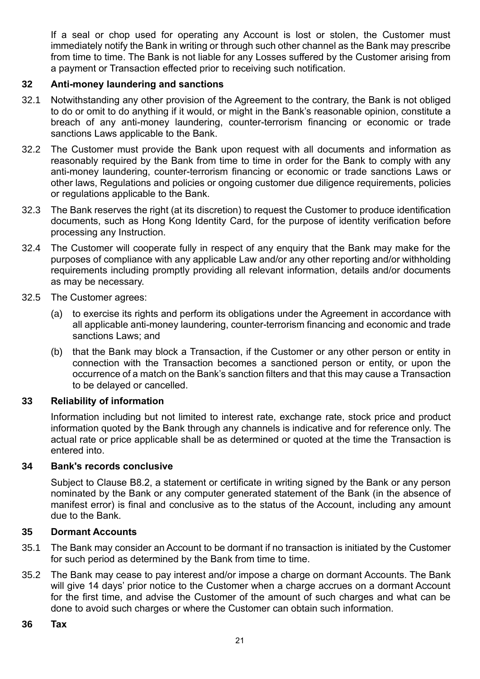If a seal or chop used for operating any Account is lost or stolen, the Customer must immediately notify the Bank in writing or through such other channel as the Bank may prescribe from time to time. The Bank is not liable for any Losses suffered by the Customer arising from a payment or Transaction effected prior to receiving such notification.

#### **32 Anti-money laundering and sanctions**

- 32.1 Notwithstanding any other provision of the Agreement to the contrary, the Bank is not obliged to do or omit to do anything if it would, or might in the Bank's reasonable opinion, constitute a breach of any anti-money laundering, counter-terrorism financing or economic or trade sanctions Laws applicable to the Bank.
- 32.2 The Customer must provide the Bank upon request with all documents and information as reasonably required by the Bank from time to time in order for the Bank to comply with any anti-money laundering, counter-terrorism financing or economic or trade sanctions Laws or other laws, Regulations and policies or ongoing customer due diligence requirements, policies or regulations applicable to the Bank.
- 32.3 The Bank reserves the right (at its discretion) to request the Customer to produce identification documents, such as Hong Kong Identity Card, for the purpose of identity verification before processing any Instruction.
- 32.4 The Customer will cooperate fully in respect of any enquiry that the Bank may make for the purposes of compliance with any applicable Law and/or any other reporting and/or withholding requirements including promptly providing all relevant information, details and/or documents as may be necessary.
- 32.5 The Customer agrees:
	- (a) to exercise its rights and perform its obligations under the Agreement in accordance with all applicable anti-money laundering, counter-terrorism financing and economic and trade sanctions Laws; and
	- (b) that the Bank may block a Transaction, if the Customer or any other person or entity in connection with the Transaction becomes a sanctioned person or entity, or upon the occurrence of a match on the Bank's sanction filters and that this may cause a Transaction to be delayed or cancelled.

#### **33 Reliability of information**

Information including but not limited to interest rate, exchange rate, stock price and product information quoted by the Bank through any channels is indicative and for reference only. The actual rate or price applicable shall be as determined or quoted at the time the Transaction is entered into.

#### **34 Bank's records conclusive**

Subject to Clause B8.2, a statement or certificate in writing signed by the Bank or any person nominated by the Bank or any computer generated statement of the Bank (in the absence of manifest error) is final and conclusive as to the status of the Account, including any amount due to the Bank.

#### **35 Dormant Accounts**

- 35.1 The Bank may consider an Account to be dormant if no transaction is initiated by the Customer for such period as determined by the Bank from time to time.
- 35.2 The Bank may cease to pay interest and/or impose a charge on dormant Accounts. The Bank will give 14 days' prior notice to the Customer when a charge accrues on a dormant Account for the first time, and advise the Customer of the amount of such charges and what can be done to avoid such charges or where the Customer can obtain such information.

#### **36 Tax**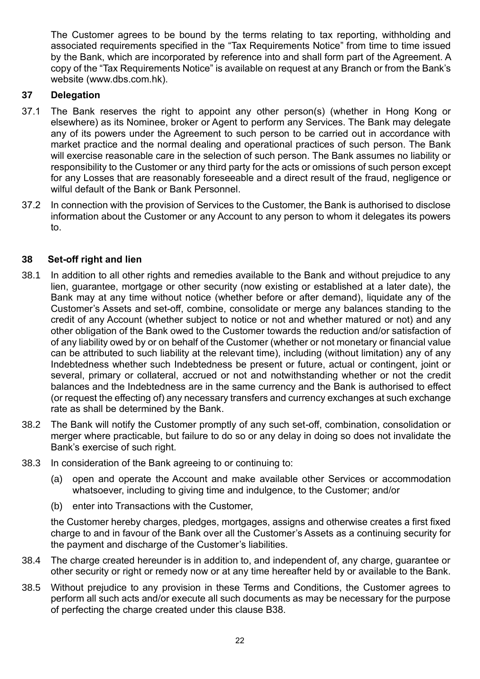The Customer agrees to be bound by the terms relating to tax reporting, withholding and associated requirements specified in the "Tax Requirements Notice" from time to time issued by the Bank, which are incorporated by reference into and shall form part of the Agreement. A copy of the "Tax Requirements Notice" is available on request at any Branch or from the Bank's website [\(www.dbs.com.hk\)](http://www.dbs.com.hk/).

#### **37 Delegation**

- 37.1 The Bank reserves the right to appoint any other person(s) (whether in Hong Kong or elsewhere) as its Nominee, broker or Agent to perform any Services. The Bank may delegate any of its powers under the Agreement to such person to be carried out in accordance with market practice and the normal dealing and operational practices of such person. The Bank will exercise reasonable care in the selection of such person. The Bank assumes no liability or responsibility to the Customer or any third party for the acts or omissions of such person except for any Losses that are reasonably foreseeable and a direct result of the fraud, negligence or wilful default of the Bank or Bank Personnel.
- 37.2 In connection with the provision of Services to the Customer, the Bank is authorised to disclose information about the Customer or any Account to any person to whom it delegates its powers to.

#### <span id="page-23-0"></span>**38 Set-off right and lien**

- 38.1 In addition to all other rights and remedies available to the Bank and without prejudice to any lien, guarantee, mortgage or other security (now existing or established at a later date), the Bank may at any time without notice (whether before or after demand), liquidate any of the Customer's Assets and set-off, combine, consolidate or merge any balances standing to the credit of any Account (whether subject to notice or not and whether matured or not) and any other obligation of the Bank owed to the Customer towards the reduction and/or satisfaction of of any liability owed by or on behalf of the Customer (whether or not monetary or financial value can be attributed to such liability at the relevant time), including (without limitation) any of any Indebtedness whether such Indebtedness be present or future, actual or contingent, joint or several, primary or collateral, accrued or not and notwithstanding whether or not the credit balances and the Indebtedness are in the same currency and the Bank is authorised to effect (or request the effecting of) any necessary transfers and currency exchanges at such exchange rate as shall be determined by the Bank.
- 38.2 The Bank will notify the Customer promptly of any such set-off, combination, consolidation or merger where practicable, but failure to do so or any delay in doing so does not invalidate the Bank's exercise of such right.
- 38.3 In consideration of the Bank agreeing to or continuing to:
	- (a) open and operate the Account and make available other Services or accommodation whatsoever, including to giving time and indulgence, to the Customer; and/or
	- (b) enter into Transactions with the Customer,

the Customer hereby charges, pledges, mortgages, assigns and otherwise creates a first fixed charge to and in favour of the Bank over all the Customer's Assets as a continuing security for the payment and discharge of the Customer's liabilities.

- 38.4 The charge created hereunder is in addition to, and independent of, any charge, guarantee or other security or right or remedy now or at any time hereafter held by or available to the Bank.
- 38.5 Without prejudice to any provision in these Terms and Conditions, the Customer agrees to perform all such acts and/or execute all such documents as may be necessary for the purpose of perfecting the charge created under this clause B38.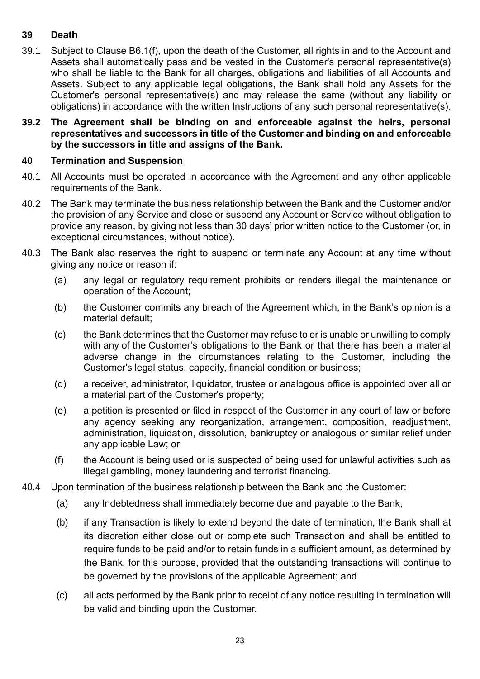#### **39 Death**

- <span id="page-24-0"></span>39.1 Subject to Clause B6.[1\(f\),](#page-10-0) upon the death of the Customer, all rights in and to the Account and Assets shall automatically pass and be vested in the Customer's personal representative(s) who shall be liable to the Bank for all charges, obligations and liabilities of all Accounts and Assets. Subject to any applicable legal obligations, the Bank shall hold any Assets for the Customer's personal representative(s) and may release the same (without any liability or obligations) in accordance with the written Instructions of any such personal representative(s).
- **39.2 The Agreement shall be binding on and enforceable against the heirs, personal representatives and successors in title of the Customer and binding on and enforceable by the successors in title and assigns of the Bank.**

#### **40 Termination and Suspension**

- 40.1 All Accounts must be operated in accordance with the Agreement and any other applicable requirements of the Bank.
- 40.2 The Bank may terminate the business relationship between the Bank and the Customer and/or the provision of any Service and close or suspend any Account or Service without obligation to provide any reason, by giving not less than 30 days' prior written notice to the Customer (or, in exceptional circumstances, without notice).
- 40.3 The Bank also reserves the right to suspend or terminate any Account at any time without giving any notice or reason if:
	- (a) any legal or regulatory requirement prohibits or renders illegal the maintenance or operation of the Account;
	- (b) the Customer commits any breach of the Agreement which, in the Bank's opinion is a material default;
	- (c) the Bank determines that the Customer may refuse to or is unable or unwilling to comply with any of the Customer's obligations to the Bank or that there has been a material adverse change in the circumstances relating to the Customer, including the Customer's legal status, capacity, financial condition or business;
	- (d) a receiver, administrator, liquidator, trustee or analogous office is appointed over all or a material part of the Customer's property;
	- (e) a petition is presented or filed in respect of the Customer in any court of law or before any agency seeking any reorganization, arrangement, composition, readjustment, administration, liquidation, dissolution, bankruptcy or analogous or similar relief under any applicable Law; or
	- (f) the Account is being used or is suspected of being used for unlawful activities such as illegal gambling, money laundering and terrorist financing.
- 40.4 Upon termination of the business relationship between the Bank and the Customer:
	- (a) any Indebtedness shall immediately become due and payable to the Bank;
	- (b) if any Transaction is likely to extend beyond the date of termination, the Bank shall at its discretion either close out or complete such Transaction and shall be entitled to require funds to be paid and/or to retain funds in a sufficient amount, as determined by the Bank, for this purpose, provided that the outstanding transactions will continue to be governed by the provisions of the applicable Agreement; and
	- (c) all acts performed by the Bank prior to receipt of any notice resulting in termination will be valid and binding upon the Customer.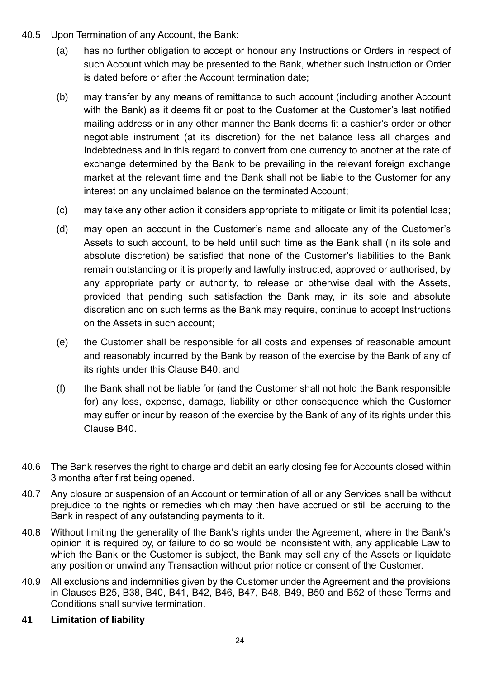- 40.5 Upon Termination of any Account, the Bank:
	- (a) has no further obligation to accept or honour any Instructions or Orders in respect of such Account which may be presented to the Bank, whether such Instruction or Order is dated before or after the Account termination date;
	- (b) may transfer by any means of remittance to such account (including another Account with the Bank) as it deems fit or post to the Customer at the Customer's last notified mailing address or in any other manner the Bank deems fit a cashier's order or other negotiable instrument (at its discretion) for the net balance less all charges and Indebtedness and in this regard to convert from one currency to another at the rate of exchange determined by the Bank to be prevailing in the relevant foreign exchange market at the relevant time and the Bank shall not be liable to the Customer for any interest on any unclaimed balance on the terminated Account;
	- (c) may take any other action it considers appropriate to mitigate or limit its potential loss;
	- (d) may open an account in the Customer's name and allocate any of the Customer's Assets to such account, to be held until such time as the Bank shall (in its sole and absolute discretion) be satisfied that none of the Customer's liabilities to the Bank remain outstanding or it is properly and lawfully instructed, approved or authorised, by any appropriate party or authority, to release or otherwise deal with the Assets, provided that pending such satisfaction the Bank may, in its sole and absolute discretion and on such terms as the Bank may require, continue to accept Instructions on the Assets in such account;
	- (e) the Customer shall be responsible for all costs and expenses of reasonable amount and reasonably incurred by the Bank by reason of the exercise by the Bank of any of its rights under this Clause B40; and
	- (f) the Bank shall not be liable for (and the Customer shall not hold the Bank responsible for) any loss, expense, damage, liability or other consequence which the Customer may suffer or incur by reason of the exercise by the Bank of any of its rights under this Clause B40.
- 40.6 The Bank reserves the right to charge and debit an early closing fee for Accounts closed within 3 months after first being opened.
- 40.7 Any closure or suspension of an Account or termination of all or any Services shall be without prejudice to the rights or remedies which may then have accrued or still be accruing to the Bank in respect of any outstanding payments to it.
- 40.8 Without limiting the generality of the Bank's rights under the Agreement, where in the Bank's opinion it is required by, or failure to do so would be inconsistent with, any applicable Law to which the Bank or the Customer is subject, the Bank may sell any of the Assets or liquidate any position or unwind any Transaction without prior notice or consent of the Customer.
- 40.9 All exclusions and indemnities given by the Customer under the Agreement and the provisions in Clauses B25, B38, B40, B41, B42, B46, B47, B48, B49, B50 and B52 of these Terms and Conditions shall survive termination.
- <span id="page-25-0"></span>**41 Limitation of liability**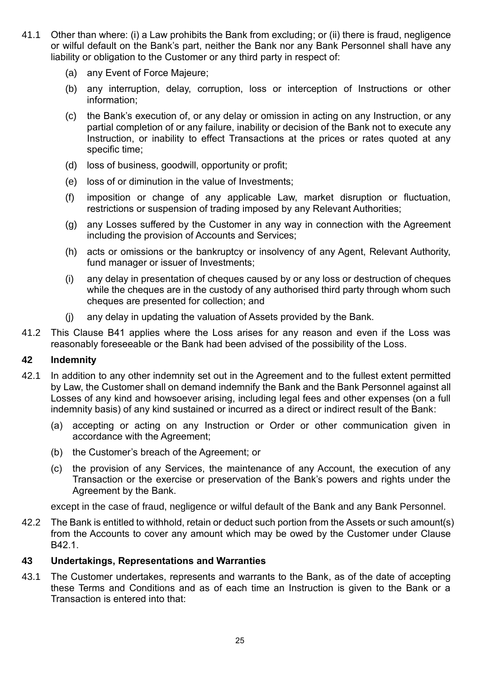- 41.1 Other than where: (i) a Law prohibits the Bank from excluding; or (ii) there is fraud, negligence or wilful default on the Bank's part, neither the Bank nor any Bank Personnel shall have any liability or obligation to the Customer or any third party in respect of:
	- (a) any Event of Force Majeure;
	- (b) any interruption, delay, corruption, loss or interception of Instructions or other information;
	- (c) the Bank's execution of, or any delay or omission in acting on any Instruction, or any partial completion of or any failure, inability or decision of the Bank not to execute any Instruction, or inability to effect Transactions at the prices or rates quoted at any specific time;
	- (d) loss of business, goodwill, opportunity or profit;
	- (e) loss of or diminution in the value of Investments;
	- (f) imposition or change of any applicable Law, market disruption or fluctuation, restrictions or suspension of trading imposed by any Relevant Authorities;
	- (g) any Losses suffered by the Customer in any way in connection with the Agreement including the provision of Accounts and Services;
	- (h) acts or omissions or the bankruptcy or insolvency of any Agent, Relevant Authority, fund manager or issuer of Investments;
	- (i) any delay in presentation of cheques caused by or any loss or destruction of cheques while the cheques are in the custody of any authorised third party through whom such cheques are presented for collection; and
	- (j) any delay in updating the valuation of Assets provided by the Bank.
- 41.2 This Clause [B41](#page-25-0) applies where the Loss arises for any reason and even if the Loss was reasonably foreseeable or the Bank had been advised of the possibility of the Loss.

#### **42 Indemnity**

- <span id="page-26-0"></span>42.1 In addition to any other indemnity set out in the Agreement and to the fullest extent permitted by Law, the Customer shall on demand indemnify the Bank and the Bank Personnel against all Losses of any kind and howsoever arising, including legal fees and other expenses (on a full indemnity basis) of any kind sustained or incurred as a direct or indirect result of the Bank:
	- (a) accepting or acting on any Instruction or Order or other communication given in accordance with the Agreement;
	- (b) the Customer's breach of the Agreement; or
	- (c) the provision of any Services, the maintenance of any Account, the execution of any Transaction or the exercise or preservation of the Bank's powers and rights under the Agreement by the Bank.

except in the case of fraud, negligence or wilful default of the Bank and any Bank Personnel.

42.2 The Bank is entitled to withhold, retain or deduct such portion from the Assets or such amount(s) from the Accounts to cover any amount which may be owed by the Customer under Clause [B42.1.](#page-26-0)

#### **43 Undertakings, Representations and Warranties**

43.1 The Customer undertakes, represents and warrants to the Bank, as of the date of accepting these Terms and Conditions and as of each time an Instruction is given to the Bank or a Transaction is entered into that: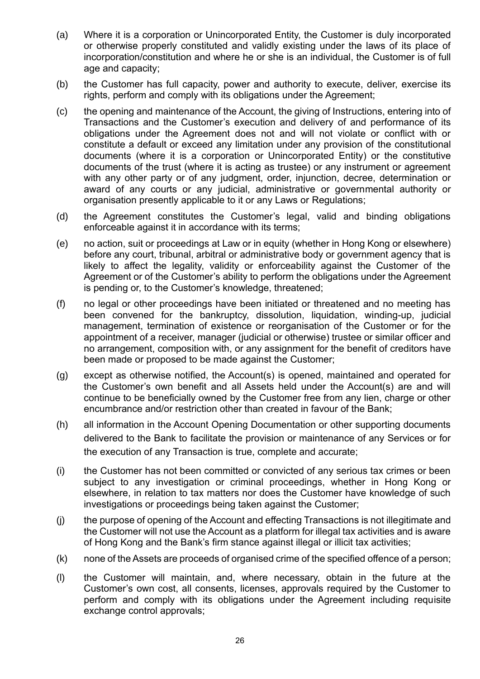- (a) Where it is a corporation or Unincorporated Entity, the Customer is duly incorporated or otherwise properly constituted and validly existing under the laws of its place of incorporation/constitution and where he or she is an individual, the Customer is of full age and capacity;
- (b) the Customer has full capacity, power and authority to execute, deliver, exercise its rights, perform and comply with its obligations under the Agreement;
- (c) the opening and maintenance of the Account, the giving of Instructions, entering into of Transactions and the Customer's execution and delivery of and performance of its obligations under the Agreement does not and will not violate or conflict with or constitute a default or exceed any limitation under any provision of the constitutional documents (where it is a corporation or Unincorporated Entity) or the constitutive documents of the trust (where it is acting as trustee) or any instrument or agreement with any other party or of any judgment, order, injunction, decree, determination or award of any courts or any judicial, administrative or governmental authority or organisation presently applicable to it or any Laws or Regulations;
- (d) the Agreement constitutes the Customer's legal, valid and binding obligations enforceable against it in accordance with its terms;
- (e) no action, suit or proceedings at Law or in equity (whether in Hong Kong or elsewhere) before any court, tribunal, arbitral or administrative body or government agency that is likely to affect the legality, validity or enforceability against the Customer of the Agreement or of the Customer's ability to perform the obligations under the Agreement is pending or, to the Customer's knowledge, threatened;
- (f) no legal or other proceedings have been initiated or threatened and no meeting has been convened for the bankruptcy, dissolution, liquidation, winding-up, judicial management, termination of existence or reorganisation of the Customer or for the appointment of a receiver, manager (judicial or otherwise) trustee or similar officer and no arrangement, composition with, or any assignment for the benefit of creditors have been made or proposed to be made against the Customer;
- (g) except as otherwise notified, the Account(s) is opened, maintained and operated for the Customer's own benefit and all Assets held under the Account(s) are and will continue to be beneficially owned by the Customer free from any lien, charge or other encumbrance and/or restriction other than created in favour of the Bank;
- (h) all information in the Account Opening Documentation or other supporting documents delivered to the Bank to facilitate the provision or maintenance of any Services or for the execution of any Transaction is true, complete and accurate;
- (i) the Customer has not been committed or convicted of any serious tax crimes or been subject to any investigation or criminal proceedings, whether in Hong Kong or elsewhere, in relation to tax matters nor does the Customer have knowledge of such investigations or proceedings being taken against the Customer;
- (j) the purpose of opening of the Account and effecting Transactions is not illegitimate and the Customer will not use the Account as a platform for illegal tax activities and is aware of Hong Kong and the Bank's firm stance against illegal or illicit tax activities;
- (k) none of the Assets are proceeds of organised crime of the specified offence of a person;
- (l) the Customer will maintain, and, where necessary, obtain in the future at the Customer's own cost, all consents, licenses, approvals required by the Customer to perform and comply with its obligations under the Agreement including requisite exchange control approvals;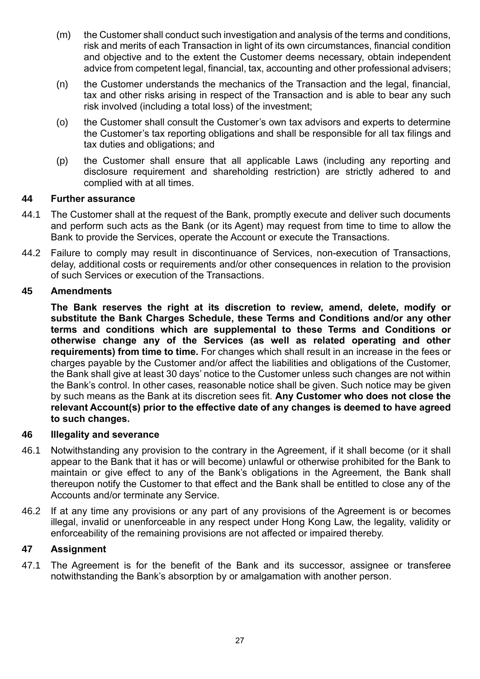- (m) the Customer shall conduct such investigation and analysis of the terms and conditions, risk and merits of each Transaction in light of its own circumstances, financial condition and objective and to the extent the Customer deems necessary, obtain independent advice from competent legal, financial, tax, accounting and other professional advisers;
- (n) the Customer understands the mechanics of the Transaction and the legal, financial, tax and other risks arising in respect of the Transaction and is able to bear any such risk involved (including a total loss) of the investment;
- (o) the Customer shall consult the Customer's own tax advisors and experts to determine the Customer's tax reporting obligations and shall be responsible for all tax filings and tax duties and obligations; and
- (p) the Customer shall ensure that all applicable Laws (including any reporting and disclosure requirement and shareholding restriction) are strictly adhered to and complied with at all times.

#### **44 Further assurance**

- 44.1 The Customer shall at the request of the Bank, promptly execute and deliver such documents and perform such acts as the Bank (or its Agent) may request from time to time to allow the Bank to provide the Services, operate the Account or execute the Transactions.
- 44.2 Failure to comply may result in discontinuance of Services, non-execution of Transactions, delay, additional costs or requirements and/or other consequences in relation to the provision of such Services or execution of the Transactions.

#### **45 Amendments**

**The Bank reserves the right at its discretion to review, amend, delete, modify or substitute the Bank Charges Schedule, these Terms and Conditions and/or any other terms and conditions which are supplemental to these Terms and Conditions or otherwise change any of the Services (as well as related operating and other requirements) from time to time.** For changes which shall result in an increase in the fees or charges payable by the Customer and/or affect the liabilities and obligations of the Customer, the Bank shall give at least 30 days' notice to the Customer unless such changes are not within the Bank's control. In other cases, reasonable notice shall be given. Such notice may be given by such means as the Bank at its discretion sees fit. **Any Customer who does not close the relevant Account(s) prior to the effective date of any changes is deemed to have agreed to such changes.**

#### **46 Illegality and severance**

- 46.1 Notwithstanding any provision to the contrary in the Agreement, if it shall become (or it shall appear to the Bank that it has or will become) unlawful or otherwise prohibited for the Bank to maintain or give effect to any of the Bank's obligations in the Agreement, the Bank shall thereupon notify the Customer to that effect and the Bank shall be entitled to close any of the Accounts and/or terminate any Service.
- 46.2 If at any time any provisions or any part of any provisions of the Agreement is or becomes illegal, invalid or unenforceable in any respect under Hong Kong Law, the legality, validity or enforceability of the remaining provisions are not affected or impaired thereby.

#### **47 Assignment**

47.1 The Agreement is for the benefit of the Bank and its successor, assignee or transferee notwithstanding the Bank's absorption by or amalgamation with another person.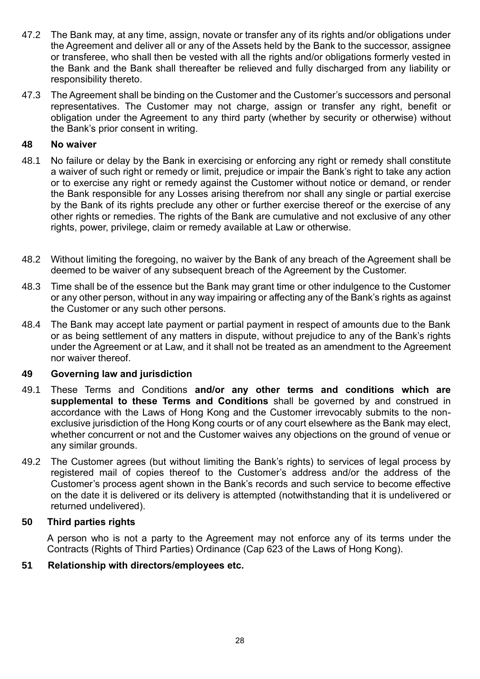- 47.2 The Bank may, at any time, assign, novate or transfer any of its rights and/or obligations under the Agreement and deliver all or any of the Assets held by the Bank to the successor, assignee or transferee, who shall then be vested with all the rights and/or obligations formerly vested in the Bank and the Bank shall thereafter be relieved and fully discharged from any liability or responsibility thereto.
- 47.3 The Agreement shall be binding on the Customer and the Customer's successors and personal representatives. The Customer may not charge, assign or transfer any right, benefit or obligation under the Agreement to any third party (whether by security or otherwise) without the Bank's prior consent in writing.

#### **48 No waiver**

- 48.1 No failure or delay by the Bank in exercising or enforcing any right or remedy shall constitute a waiver of such right or remedy or limit, prejudice or impair the Bank's right to take any action or to exercise any right or remedy against the Customer without notice or demand, or render the Bank responsible for any Losses arising therefrom nor shall any single or partial exercise by the Bank of its rights preclude any other or further exercise thereof or the exercise of any other rights or remedies. The rights of the Bank are cumulative and not exclusive of any other rights, power, privilege, claim or remedy available at Law or otherwise.
- 48.2 Without limiting the foregoing, no waiver by the Bank of any breach of the Agreement shall be deemed to be waiver of any subsequent breach of the Agreement by the Customer.
- 48.3 Time shall be of the essence but the Bank may grant time or other indulgence to the Customer or any other person, without in any way impairing or affecting any of the Bank's rights as against the Customer or any such other persons.
- 48.4 The Bank may accept late payment or partial payment in respect of amounts due to the Bank or as being settlement of any matters in dispute, without prejudice to any of the Bank's rights under the Agreement or at Law, and it shall not be treated as an amendment to the Agreement nor waiver thereof.

#### **49 Governing law and jurisdiction**

- 49.1 These Terms and Conditions **and/or any other terms and conditions which are supplemental to these Terms and Conditions** shall be governed by and construed in accordance with the Laws of Hong Kong and the Customer irrevocably submits to the nonexclusive jurisdiction of the Hong Kong courts or of any court elsewhere as the Bank may elect, whether concurrent or not and the Customer waives any objections on the ground of venue or any similar grounds.
- 49.2 The Customer agrees (but without limiting the Bank's rights) to services of legal process by registered mail of copies thereof to the Customer's address and/or the address of the Customer's process agent shown in the Bank's records and such service to become effective on the date it is delivered or its delivery is attempted (notwithstanding that it is undelivered or returned undelivered).

#### **50 Third parties rights**

A person who is not a party to the Agreement may not enforce any of its terms under the Contracts (Rights of Third Parties) Ordinance (Cap 623 of the Laws of Hong Kong).

#### **51 Relationship with directors/employees etc.**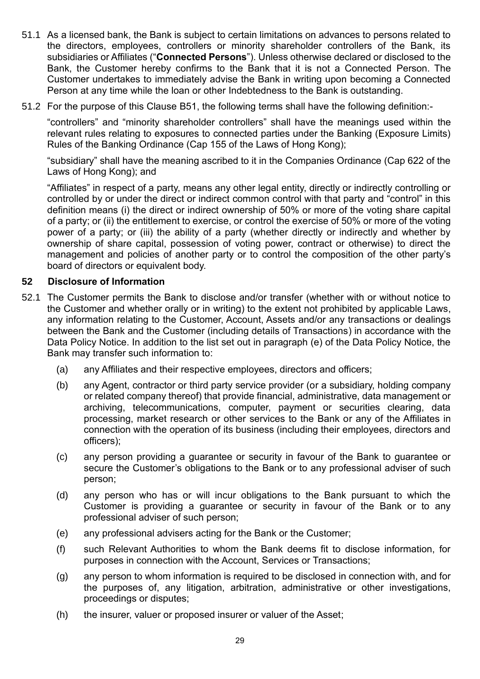- 51.1 As a licensed bank, the Bank is subject to certain limitations on advances to persons related to the directors, employees, controllers or minority shareholder controllers of the Bank, its subsidiaries or Affiliates ("**Connected Persons**"). Unless otherwise declared or disclosed to the Bank, the Customer hereby confirms to the Bank that it is not a Connected Person. The Customer undertakes to immediately advise the Bank in writing upon becoming a Connected Person at any time while the loan or other Indebtedness to the Bank is outstanding.
- 51.2 For the purpose of this Clause B51, the following terms shall have the following definition:-

"controllers" and "minority shareholder controllers" shall have the meanings used within the relevant rules relating to exposures to connected parties under the Banking (Exposure Limits) Rules of the Banking Ordinance (Cap 155 of the Laws of Hong Kong);

"subsidiary" shall have the meaning ascribed to it in the Companies Ordinance (Cap 622 of the Laws of Hong Kong); and

"Affiliates" in respect of a party, means any other legal entity, directly or indirectly controlling or controlled by or under the direct or indirect common control with that party and "control" in this definition means (i) the direct or indirect ownership of 50% or more of the voting share capital of a party; or (ii) the entitlement to exercise, or control the exercise of 50% or more of the voting power of a party; or (iii) the ability of a party (whether directly or indirectly and whether by ownership of share capital, possession of voting power, contract or otherwise) to direct the management and policies of another party or to control the composition of the other party's board of directors or equivalent body.

#### **52 Disclosure of Information**

- 52.1 The Customer permits the Bank to disclose and/or transfer (whether with or without notice to the Customer and whether orally or in writing) to the extent not prohibited by applicable Laws, any information relating to the Customer, Account, Assets and/or any transactions or dealings between the Bank and the Customer (including details of Transactions) in accordance with the Data Policy Notice. In addition to the list set out in paragraph (e) of the Data Policy Notice, the Bank may transfer such information to:
	- (a) any Affiliates and their respective employees, directors and officers;
	- (b) any Agent, contractor or third party service provider (or a subsidiary, holding company or related company thereof) that provide financial, administrative, data management or archiving, telecommunications, computer, payment or securities clearing, data processing, market research or other services to the Bank or any of the Affiliates in connection with the operation of its business (including their employees, directors and officers);
	- (c) any person providing a guarantee or security in favour of the Bank to guarantee or secure the Customer's obligations to the Bank or to any professional adviser of such person;
	- (d) any person who has or will incur obligations to the Bank pursuant to which the Customer is providing a guarantee or security in favour of the Bank or to any professional adviser of such person;
	- (e) any professional advisers acting for the Bank or the Customer;
	- (f) such Relevant Authorities to whom the Bank deems fit to disclose information, for purposes in connection with the Account, Services or Transactions;
	- (g) any person to whom information is required to be disclosed in connection with, and for the purposes of, any litigation, arbitration, administrative or other investigations, proceedings or disputes;
	- (h) the insurer, valuer or proposed insurer or valuer of the Asset;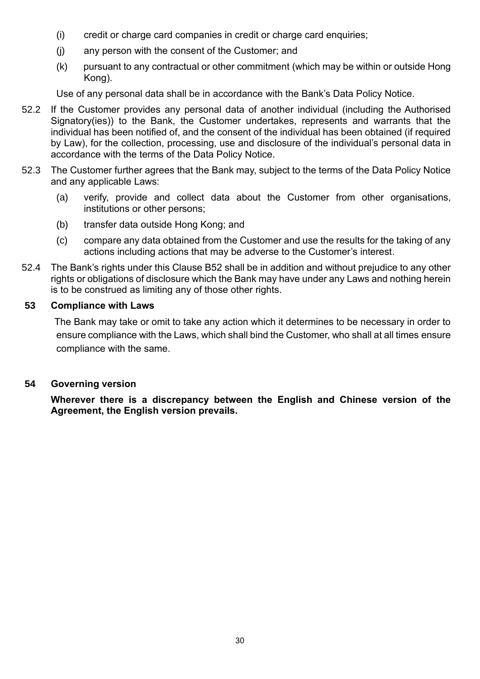- (i) credit or charge card companies in credit or charge card enquiries;
- (j) any person with the consent of the Customer; and
- (k) pursuant to any contractual or other commitment (which may be within or outside Hong Kong).

Use of any personal data shall be in accordance with the Bank's Data Policy Notice.

- 52.2 If the Customer provides any personal data of another individual (including the Authorised Signatory(ies)) to the Bank, the Customer undertakes, represents and warrants that the individual has been notified of, and the consent of the individual has been obtained (if required by Law), for the collection, processing, use and disclosure of the individual's personal data in accordance with the terms of the Data Policy Notice.
- 52.3 The Customer further agrees that the Bank may, subject to the terms of the Data Policy Notice and any applicable Laws:
	- (a) verify, provide and collect data about the Customer from other organisations, institutions or other persons;
	- (b) transfer data outside Hong Kong; and
	- (c) compare any data obtained from the Customer and use the results for the taking of any actions including actions that may be adverse to the Customer's interest.
- 52.4 The Bank's rights under this Clause B52 shall be in addition and without prejudice to any other rights or obligations of disclosure which the Bank may have under any Laws and nothing herein is to be construed as limiting any of those other rights.

#### **53 Compliance with Laws**

The Bank may take or omit to take any action which it determines to be necessary in order to ensure compliance with the Laws, which shall bind the Customer, who shall at all times ensure compliance with the same.

#### **54 Governing version**

**Wherever there is a discrepancy between the English and Chinese version of the Agreement, the English version prevails.**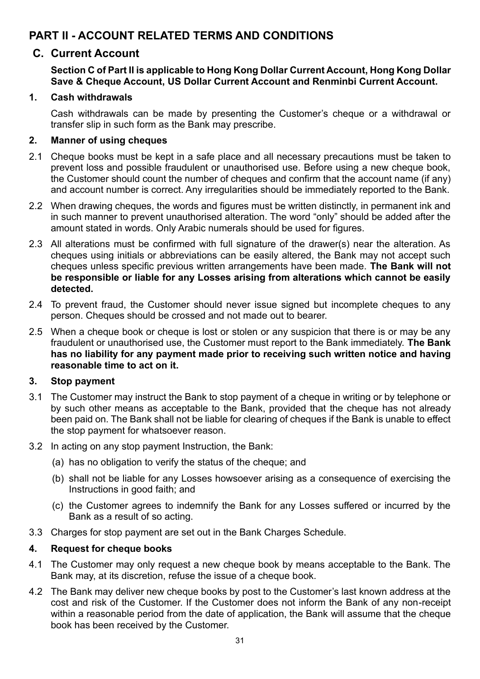## **PART II - ACCOUNT RELATED TERMS AND CONDITIONS**

#### **C. Current Account**

#### **Section C of Part II is applicable to Hong Kong Dollar Current Account, Hong Kong Dollar Save & Cheque Account, US Dollar Current Account and Renminbi Current Account.**

#### **1. Cash withdrawals**

Cash withdrawals can be made by presenting the Customer's cheque or a withdrawal or transfer slip in such form as the Bank may prescribe.

#### **2. Manner of using cheques**

- 2.1 Cheque books must be kept in a safe place and all necessary precautions must be taken to prevent loss and possible fraudulent or unauthorised use. Before using a new cheque book, the Customer should count the number of cheques and confirm that the account name (if any) and account number is correct. Any irregularities should be immediately reported to the Bank.
- 2.2 When drawing cheques, the words and figures must be written distinctly, in permanent ink and in such manner to prevent unauthorised alteration. The word "only" should be added after the amount stated in words. Only Arabic numerals should be used for figures.
- 2.3 All alterations must be confirmed with full signature of the drawer(s) near the alteration. As cheques using initials or abbreviations can be easily altered, the Bank may not accept such cheques unless specific previous written arrangements have been made. **The Bank will not be responsible or liable for any Losses arising from alterations which cannot be easily detected.**
- 2.4 To prevent fraud, the Customer should never issue signed but incomplete cheques to any person. Cheques should be crossed and not made out to bearer.
- 2.5 When a cheque book or cheque is lost or stolen or any suspicion that there is or may be any fraudulent or unauthorised use, the Customer must report to the Bank immediately. **The Bank has no liability for any payment made prior to receiving such written notice and having reasonable time to act on it.**

#### **3. Stop payment**

- 3.1 The Customer may instruct the Bank to stop payment of a cheque in writing or by telephone or by such other means as acceptable to the Bank, provided that the cheque has not already been paid on. The Bank shall not be liable for clearing of cheques if the Bank is unable to effect the stop payment for whatsoever reason.
- 3.2 In acting on any stop payment Instruction, the Bank:
	- (a) has no obligation to verify the status of the cheque; and
	- (b) shall not be liable for any Losses howsoever arising as a consequence of exercising the Instructions in good faith; and
	- (c) the Customer agrees to indemnify the Bank for any Losses suffered or incurred by the Bank as a result of so acting.
- 3.3 Charges for stop payment are set out in the Bank Charges Schedule.

#### **4. Request for cheque books**

- 4.1 The Customer may only request a new cheque book by means acceptable to the Bank. The Bank may, at its discretion, refuse the issue of a cheque book.
- 4.2 The Bank may deliver new cheque books by post to the Customer's last known address at the cost and risk of the Customer. If the Customer does not inform the Bank of any non-receipt within a reasonable period from the date of application, the Bank will assume that the cheque book has been received by the Customer.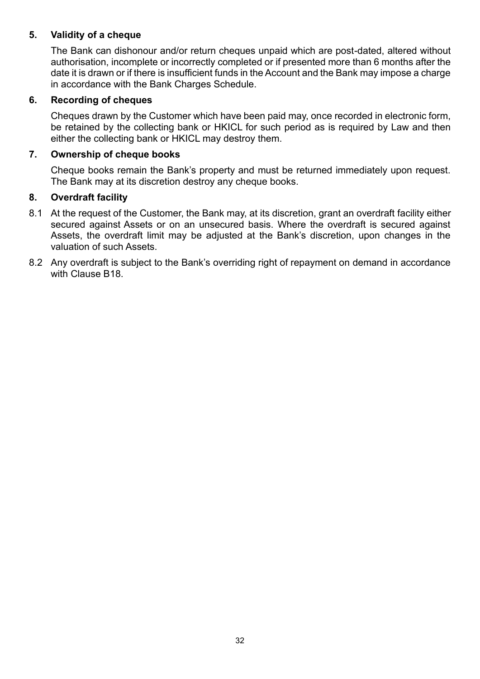#### **5. Validity of a cheque**

The Bank can dishonour and/or return cheques unpaid which are post-dated, altered without authorisation, incomplete or incorrectly completed or if presented more than 6 months after the date it is drawn or if there is insufficient funds in the Account and the Bank may impose a charge in accordance with the Bank Charges Schedule.

#### **6. Recording of cheques**

Cheques drawn by the Customer which have been paid may, once recorded in electronic form, be retained by the collecting bank or HKICL for such period as is required by Law and then either the collecting bank or HKICL may destroy them.

#### **7. Ownership of cheque books**

Cheque books remain the Bank's property and must be returned immediately upon request. The Bank may at its discretion destroy any cheque books.

#### **8. Overdraft facility**

- 8.1 At the request of the Customer, the Bank may, at its discretion, grant an overdraft facility either secured against Assets or on an unsecured basis. Where the overdraft is secured against Assets, the overdraft limit may be adjusted at the Bank's discretion, upon changes in the valuation of such Assets.
- 8.2 Any overdraft is subject to the Bank's overriding right of repayment on demand in accordance with Clause [B18.](#page-16-1)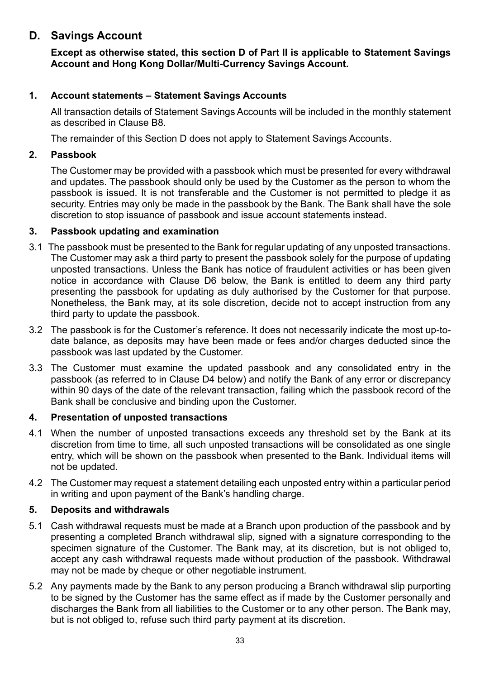## **D. Savings Account**

**Except as otherwise stated, this section D of Part II is applicable to Statement Savings Account and Hong Kong Dollar/Multi-Currency Savings Account.**

#### **1. Account statements – Statement Savings Accounts**

All transaction details of Statement Savings Accounts will be included in the monthly statement as described in Clause B8.

The remainder of this Section D does not apply to Statement Savings Accounts.

#### **2. Passbook**

The Customer may be provided with a passbook which must be presented for every withdrawal and updates. The passbook should only be used by the Customer as the person to whom the passbook is issued. It is not transferable and the Customer is not permitted to pledge it as security. Entries may only be made in the passbook by the Bank. The Bank shall have the sole discretion to stop issuance of passbook and issue account statements instead.

#### **3. Passbook updating and examination**

- 3.1 The passbook must be presented to the Bank for regular updating of any unposted transactions. The Customer may ask a third party to present the passbook solely for the purpose of updating unposted transactions. Unless the Bank has notice of fraudulent activities or has been given notice in accordance with Clause D6 below, the Bank is entitled to deem any third party presenting the passbook for updating as duly authorised by the Customer for that purpose. Nonetheless, the Bank may, at its sole discretion, decide not to accept instruction from any third party to update the passbook.
- 3.2 The passbook is for the Customer's reference. It does not necessarily indicate the most up-todate balance, as deposits may have been made or fees and/or charges deducted since the passbook was last updated by the Customer.
- 3.3 The Customer must examine the updated passbook and any consolidated entry in the passbook (as referred to in Clause D4 below) and notify the Bank of any error or discrepancy within 90 days of the date of the relevant transaction, failing which the passbook record of the Bank shall be conclusive and binding upon the Customer.

#### **4. Presentation of unposted transactions**

- 4.1 When the number of unposted transactions exceeds any threshold set by the Bank at its discretion from time to time, all such unposted transactions will be consolidated as one single entry, which will be shown on the passbook when presented to the Bank. Individual items will not be updated.
- 4.2 The Customer may request a statement detailing each unposted entry within a particular period in writing and upon payment of the Bank's handling charge.

#### **5. Deposits and withdrawals**

- 5.1 Cash withdrawal requests must be made at a Branch upon production of the passbook and by presenting a completed Branch withdrawal slip, signed with a signature corresponding to the specimen signature of the Customer. The Bank may, at its discretion, but is not obliged to, accept any cash withdrawal requests made without production of the passbook. Withdrawal may not be made by cheque or other negotiable instrument.
- 5.2 Any payments made by the Bank to any person producing a Branch withdrawal slip purporting to be signed by the Customer has the same effect as if made by the Customer personally and discharges the Bank from all liabilities to the Customer or to any other person. The Bank may, but is not obliged to, refuse such third party payment at its discretion.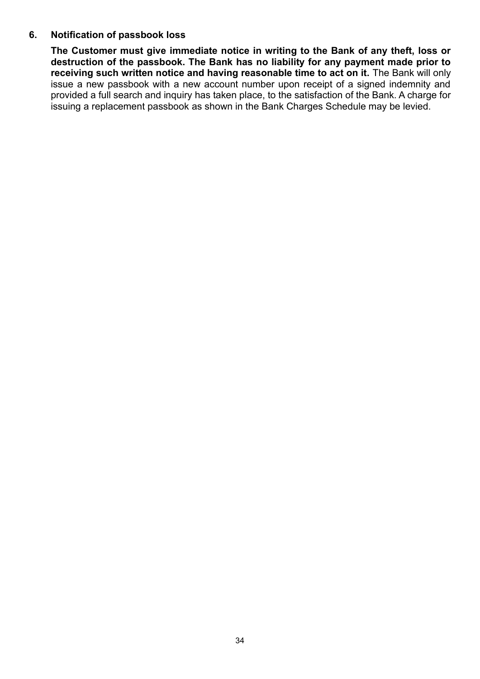#### **6. Notification of passbook loss**

**The Customer must give immediate notice in writing to the Bank of any theft, loss or destruction of the passbook. The Bank has no liability for any payment made prior to receiving such written notice and having reasonable time to act on it.** The Bank will only issue a new passbook with a new account number upon receipt of a signed indemnity and provided a full search and inquiry has taken place, to the satisfaction of the Bank. A charge for issuing a replacement passbook as shown in the Bank Charges Schedule may be levied.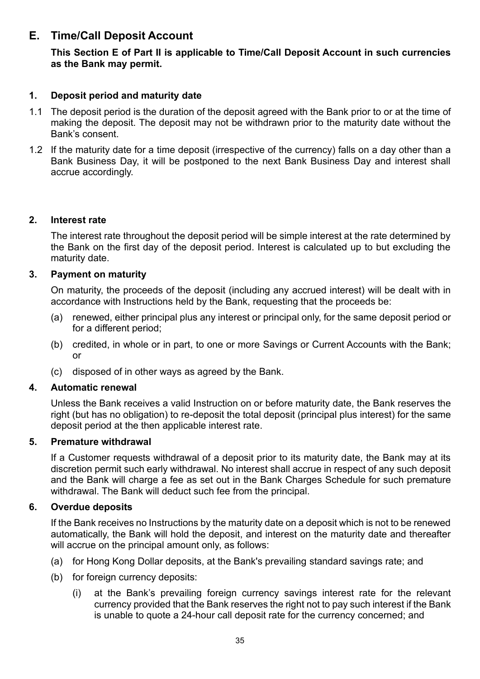## **E. Time/Call Deposit Account**

#### **This Section E of Part II is applicable to Time/Call Deposit Account in such currencies as the Bank may permit.**

#### **1. Deposit period and maturity date**

- 1.1 The deposit period is the duration of the deposit agreed with the Bank prior to or at the time of making the deposit. The deposit may not be withdrawn prior to the maturity date without the Bank's consent.
- 1.2 If the maturity date for a time deposit (irrespective of the currency) falls on a day other than a Bank Business Day, it will be postponed to the next Bank Business Day and interest shall accrue accordingly.

#### **2. Interest rate**

The interest rate throughout the deposit period will be simple interest at the rate determined by the Bank on the first day of the deposit period. Interest is calculated up to but excluding the maturity date.

#### **3. Payment on maturity**

On maturity, the proceeds of the deposit (including any accrued interest) will be dealt with in accordance with Instructions held by the Bank, requesting that the proceeds be:

- (a) renewed, either principal plus any interest or principal only, for the same deposit period or for a different period;
- (b) credited, in whole or in part, to one or more Savings or Current Accounts with the Bank; or
- (c) disposed of in other ways as agreed by the Bank.

#### **4. Automatic renewal**

Unless the Bank receives a valid Instruction on or before maturity date, the Bank reserves the right (but has no obligation) to re-deposit the total deposit (principal plus interest) for the same deposit period at the then applicable interest rate.

#### **5. Premature withdrawal**

If a Customer requests withdrawal of a deposit prior to its maturity date, the Bank may at its discretion permit such early withdrawal. No interest shall accrue in respect of any such deposit and the Bank will charge a fee as set out in the Bank Charges Schedule for such premature withdrawal. The Bank will deduct such fee from the principal.

#### **6. Overdue deposits**

If the Bank receives no Instructions by the maturity date on a deposit which is not to be renewed automatically, the Bank will hold the deposit, and interest on the maturity date and thereafter will accrue on the principal amount only, as follows:

- (a) for Hong Kong Dollar deposits, at the Bank's prevailing standard savings rate; and
- (b) for foreign currency deposits:
	- (i) at the Bank's prevailing foreign currency savings interest rate for the relevant currency provided that the Bank reserves the right not to pay such interest if the Bank is unable to quote a 24-hour call deposit rate for the currency concerned; and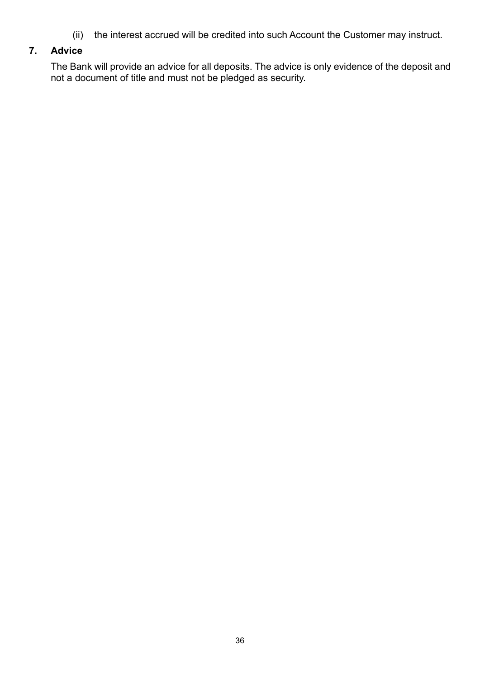(ii) the interest accrued will be credited into such Account the Customer may instruct.

### **7. Advice**

The Bank will provide an advice for all deposits. The advice is only evidence of the deposit and not a document of title and must not be pledged as security.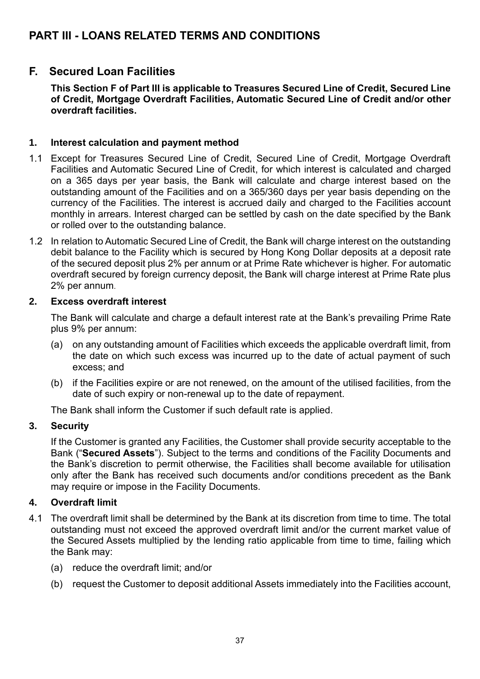## **PART III - LOANS RELATED TERMS AND CONDITIONS**

## **F. Secured Loan Facilities**

**This Section F of Part III is applicable to Treasures Secured Line of Credit, Secured Line of Credit, Mortgage Overdraft Facilities, Automatic Secured Line of Credit and/or other overdraft facilities.** 

#### **1. Interest calculation and payment method**

- 1.1 Except for Treasures Secured Line of Credit, Secured Line of Credit, Mortgage Overdraft Facilities and Automatic Secured Line of Credit, for which interest is calculated and charged on a 365 days per year basis, the Bank will calculate and charge interest based on the outstanding amount of the Facilities and on a 365/360 days per year basis depending on the currency of the Facilities. The interest is accrued daily and charged to the Facilities account monthly in arrears. Interest charged can be settled by cash on the date specified by the Bank or rolled over to the outstanding balance.
- 1.2 In relation to Automatic Secured Line of Credit, the Bank will charge interest on the outstanding debit balance to the Facility which is secured by Hong Kong Dollar deposits at a deposit rate of the secured deposit plus 2% per annum or at Prime Rate whichever is higher. For automatic overdraft secured by foreign currency deposit, the Bank will charge interest at Prime Rate plus 2% per annum.

#### **2. Excess overdraft interest**

The Bank will calculate and charge a default interest rate at the Bank's prevailing Prime Rate plus 9% per annum:

- (a) on any outstanding amount of Facilities which exceeds the applicable overdraft limit, from the date on which such excess was incurred up to the date of actual payment of such excess; and
- (b) if the Facilities expire or are not renewed, on the amount of the utilised facilities, from the date of such expiry or non-renewal up to the date of repayment.

The Bank shall inform the Customer if such default rate is applied.

#### **3. Security**

If the Customer is granted any Facilities, the Customer shall provide security acceptable to the Bank ("**Secured Assets**"). Subject to the terms and conditions of the Facility Documents and the Bank's discretion to permit otherwise, the Facilities shall become available for utilisation only after the Bank has received such documents and/or conditions precedent as the Bank may require or impose in the Facility Documents.

#### **4. Overdraft limit**

- 4.1 The overdraft limit shall be determined by the Bank at its discretion from time to time. The total outstanding must not exceed the approved overdraft limit and/or the current market value of the Secured Assets multiplied by the lending ratio applicable from time to time, failing which the Bank may:
	- (a) reduce the overdraft limit; and/or
	- (b) request the Customer to deposit additional Assets immediately into the Facilities account,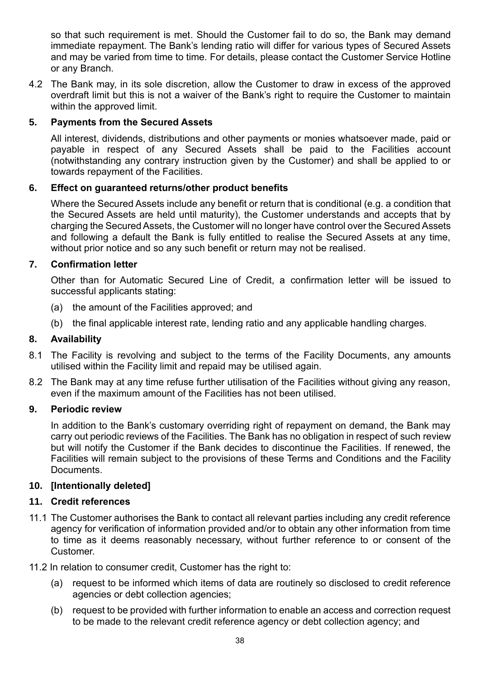so that such requirement is met. Should the Customer fail to do so, the Bank may demand immediate repayment. The Bank's lending ratio will differ for various types of Secured Assets and may be varied from time to time. For details, please contact the Customer Service Hotline or any Branch.

4.2 The Bank may, in its sole discretion, allow the Customer to draw in excess of the approved overdraft limit but this is not a waiver of the Bank's right to require the Customer to maintain within the approved limit.

#### **5. Payments from the Secured Assets**

All interest, dividends, distributions and other payments or monies whatsoever made, paid or payable in respect of any Secured Assets shall be paid to the Facilities account (notwithstanding any contrary instruction given by the Customer) and shall be applied to or towards repayment of the Facilities.

#### **6. Effect on guaranteed returns/other product benefits**

Where the Secured Assets include any benefit or return that is conditional (e.g. a condition that the Secured Assets are held until maturity), the Customer understands and accepts that by charging the Secured Assets, the Customer will no longer have control over the Secured Assets and following a default the Bank is fully entitled to realise the Secured Assets at any time, without prior notice and so any such benefit or return may not be realised.

#### **7. Confirmation letter**

Other than for Automatic Secured Line of Credit, a confirmation letter will be issued to successful applicants stating:

- (a) the amount of the Facilities approved; and
- (b) the final applicable interest rate, lending ratio and any applicable handling charges.

#### **8. Availability**

- 8.1 The Facility is revolving and subject to the terms of the Facility Documents, any amounts utilised within the Facility limit and repaid may be utilised again.
- 8.2 The Bank may at any time refuse further utilisation of the Facilities without giving any reason, even if the maximum amount of the Facilities has not been utilised.

#### **9. Periodic review**

In addition to the Bank's customary overriding right of repayment on demand, the Bank may carry out periodic reviews of the Facilities. The Bank has no obligation in respect of such review but will notify the Customer if the Bank decides to discontinue the Facilities. If renewed, the Facilities will remain subject to the provisions of these Terms and Conditions and the Facility Documents.

#### **10. [Intentionally deleted]**

#### **11. Credit references**

- 11.1 The Customer authorises the Bank to contact all relevant parties including any credit reference agency for verification of information provided and/or to obtain any other information from time to time as it deems reasonably necessary, without further reference to or consent of the Customer.
- 11.2 In relation to consumer credit, Customer has the right to:
	- (a) request to be informed which items of data are routinely so disclosed to credit reference agencies or debt collection agencies;
	- (b) request to be provided with further information to enable an access and correction request to be made to the relevant credit reference agency or debt collection agency; and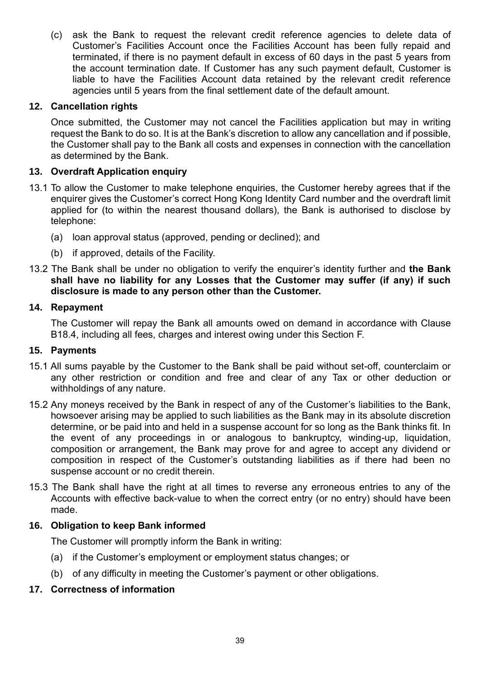(c) ask the Bank to request the relevant credit reference agencies to delete data of Customer's Facilities Account once the Facilities Account has been fully repaid and terminated, if there is no payment default in excess of 60 days in the past 5 years from the account termination date. If Customer has any such payment default, Customer is liable to have the Facilities Account data retained by the relevant credit reference agencies until 5 years from the final settlement date of the default amount.

#### **12. Cancellation rights**

Once submitted, the Customer may not cancel the Facilities application but may in writing request the Bank to do so. It is at the Bank's discretion to allow any cancellation and if possible, the Customer shall pay to the Bank all costs and expenses in connection with the cancellation as determined by the Bank.

#### **13. Overdraft Application enquiry**

- 13.1 To allow the Customer to make telephone enquiries, the Customer hereby agrees that if the enquirer gives the Customer's correct Hong Kong Identity Card number and the overdraft limit applied for (to within the nearest thousand dollars), the Bank is authorised to disclose by telephone:
	- (a) loan approval status (approved, pending or declined); and
	- (b) if approved, details of the Facility.
- 13.2 The Bank shall be under no obligation to verify the enquirer's identity further and **the Bank shall have no liability for any Losses that the Customer may suffer (if any) if such disclosure is made to any person other than the Customer.**

#### **14. Repayment**

The Customer will repay the Bank all amounts owed on demand in accordance with Clause [B18.4,](#page-16-2) including all fees, charges and interest owing under this Section F.

#### **15. Payments**

- 15.1 All sums payable by the Customer to the Bank shall be paid without set-off, counterclaim or any other restriction or condition and free and clear of any Tax or other deduction or withholdings of any nature.
- 15.2 Any moneys received by the Bank in respect of any of the Customer's liabilities to the Bank, howsoever arising may be applied to such liabilities as the Bank may in its absolute discretion determine, or be paid into and held in a suspense account for so long as the Bank thinks fit. In the event of any proceedings in or analogous to bankruptcy, winding-up, liquidation, composition or arrangement, the Bank may prove for and agree to accept any dividend or composition in respect of the Customer's outstanding liabilities as if there had been no suspense account or no credit therein.
- 15.3 The Bank shall have the right at all times to reverse any erroneous entries to any of the Accounts with effective back-value to when the correct entry (or no entry) should have been made.

#### **16. Obligation to keep Bank informed**

The Customer will promptly inform the Bank in writing:

- (a) if the Customer's employment or employment status changes; or
- (b) of any difficulty in meeting the Customer's payment or other obligations.

#### **17. Correctness of information**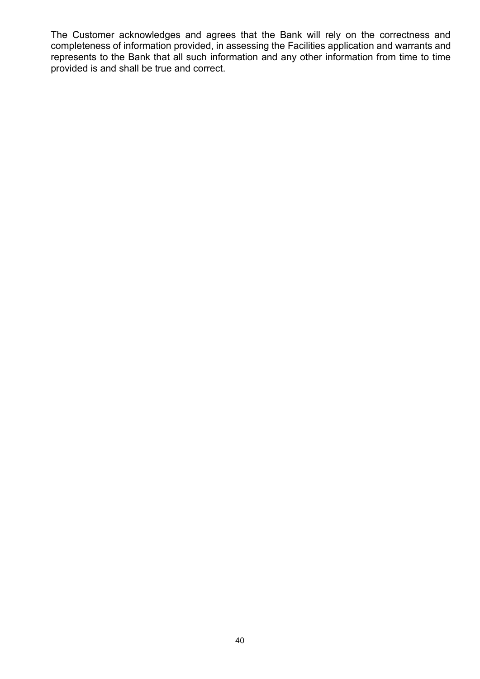The Customer acknowledges and agrees that the Bank will rely on the correctness and completeness of information provided, in assessing the Facilities application and warrants and represents to the Bank that all such information and any other information from time to time provided is and shall be true and correct.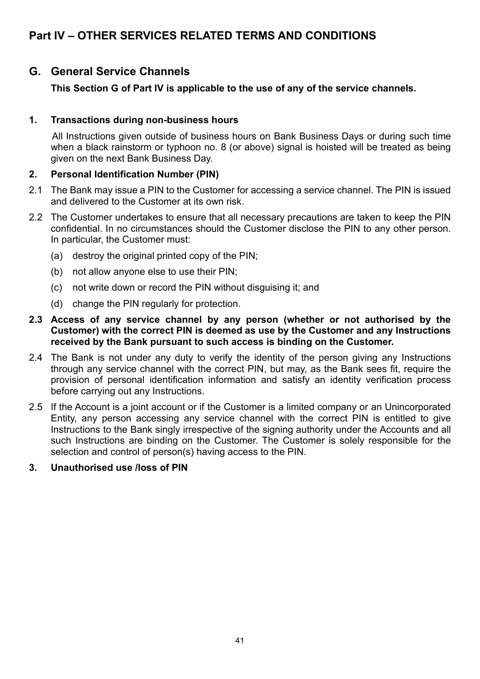## **Part IV – OTHER SERVICES RELATED TERMS AND CONDITIONS**

## **G. General Service Channels**

#### **This Section G of Part IV is applicable to the use of any of the service channels.**

#### **1. Transactions during non-business hours**

All Instructions given outside of business hours on Bank Business Days or during such time when a black rainstorm or typhoon no. 8 (or above) signal is hoisted will be treated as being given on the next Bank Business Day.

#### **2. Personal Identification Number (PIN)**

- 2.1 The Bank may issue a PIN to the Customer for accessing a service channel. The PIN is issued and delivered to the Customer at its own risk.
- 2.2 The Customer undertakes to ensure that all necessary precautions are taken to keep the PIN confidential. In no circumstances should the Customer disclose the PIN to any other person. In particular, the Customer must:
	- (a) destroy the original printed copy of the PIN;
	- (b) not allow anyone else to use their PIN;
	- (c) not write down or record the PIN without disguising it; and
	- (d) change the PIN regularly for protection.
- **2.3 Access of any service channel by any person (whether or not authorised by the Customer) with the correct PIN is deemed as use by the Customer and any Instructions received by the Bank pursuant to such access is binding on the Customer.**
- 2.4 The Bank is not under any duty to verify the identity of the person giving any Instructions through any service channel with the correct PIN, but may, as the Bank sees fit, require the provision of personal identification information and satisfy an identity verification process before carrying out any Instructions.
- 2.5 If the Account is a joint account or if the Customer is a limited company or an Unincorporated Entity, any person accessing any service channel with the correct PIN is entitled to give Instructions to the Bank singly irrespective of the signing authority under the Accounts and all such Instructions are binding on the Customer. The Customer is solely responsible for the selection and control of person(s) having access to the PIN.

#### **3. Unauthorised use /loss of PIN**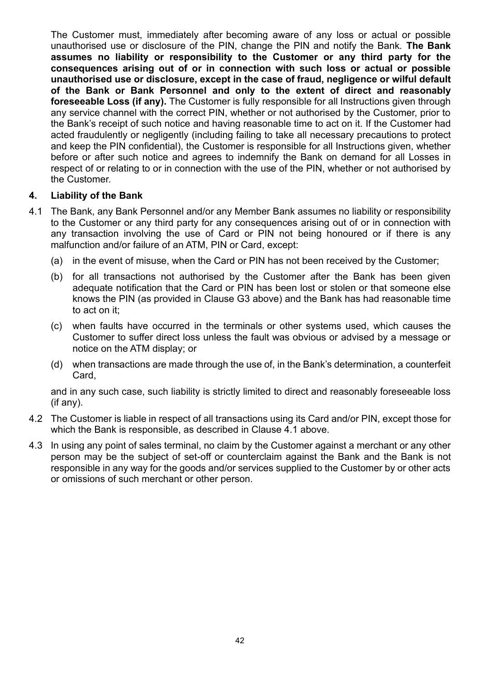The Customer must, immediately after becoming aware of any loss or actual or possible unauthorised use or disclosure of the PIN, change the PIN and notify the Bank. **The Bank assumes no liability or responsibility to the Customer or any third party for the consequences arising out of or in connection with such loss or actual or possible unauthorised use or disclosure, except in the case of fraud, negligence or wilful default of the Bank or Bank Personnel and only to the extent of direct and reasonably foreseeable Loss (if any).** The Customer is fully responsible for all Instructions given through any service channel with the correct PIN, whether or not authorised by the Customer, prior to the Bank's receipt of such notice and having reasonable time to act on it. If the Customer had acted fraudulently or negligently (including failing to take all necessary precautions to protect and keep the PIN confidential), the Customer is responsible for all Instructions given, whether before or after such notice and agrees to indemnify the Bank on demand for all Losses in respect of or relating to or in connection with the use of the PIN, whether or not authorised by the Customer.

#### **4. Liability of the Bank**

- 4.1 The Bank, any Bank Personnel and/or any Member Bank assumes no liability or responsibility to the Customer or any third party for any consequences arising out of or in connection with any transaction involving the use of Card or PIN not being honoured or if there is any malfunction and/or failure of an ATM, PIN or Card, except:
	- (a) in the event of misuse, when the Card or PIN has not been received by the Customer;
	- (b) for all transactions not authorised by the Customer after the Bank has been given adequate notification that the Card or PIN has been lost or stolen or that someone else knows the PIN (as provided in Clause G3 above) and the Bank has had reasonable time to act on it;
	- (c) when faults have occurred in the terminals or other systems used, which causes the Customer to suffer direct loss unless the fault was obvious or advised by a message or notice on the ATM display; or
	- (d) when transactions are made through the use of, in the Bank's determination, a counterfeit Card,

and in any such case, such liability is strictly limited to direct and reasonably foreseeable loss (if any).

- 4.2 The Customer is liable in respect of all transactions using its Card and/or PIN, except those for which the Bank is responsible, as described in Clause 4.1 above.
- 4.3 In using any point of sales terminal, no claim by the Customer against a merchant or any other person may be the subject of set-off or counterclaim against the Bank and the Bank is not responsible in any way for the goods and/or services supplied to the Customer by or other acts or omissions of such merchant or other person.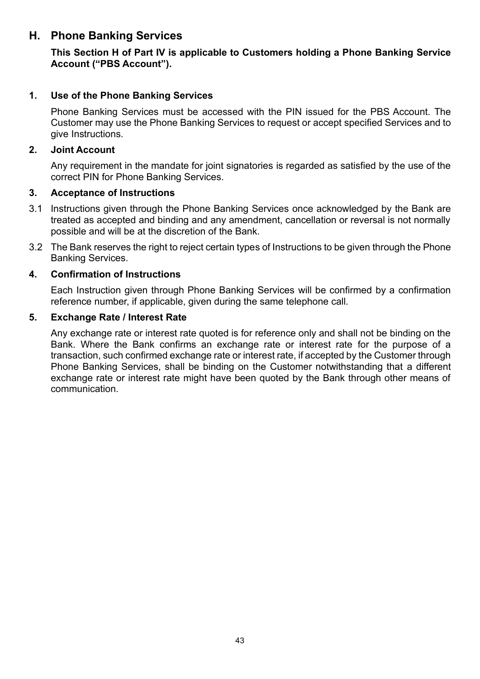## **H. Phone Banking Services**

**This Section H of Part IV is applicable to Customers holding a Phone Banking Service Account ("PBS Account").**

#### **1. Use of the Phone Banking Services**

Phone Banking Services must be accessed with the PIN issued for the PBS Account. The Customer may use the Phone Banking Services to request or accept specified Services and to give Instructions.

#### **2. Joint Account**

Any requirement in the mandate for joint signatories is regarded as satisfied by the use of the correct PIN for Phone Banking Services.

#### **3. Acceptance of Instructions**

- 3.1 Instructions given through the Phone Banking Services once acknowledged by the Bank are treated as accepted and binding and any amendment, cancellation or reversal is not normally possible and will be at the discretion of the Bank.
- 3.2 The Bank reserves the right to reject certain types of Instructions to be given through the Phone Banking Services.

#### **4. Confirmation of Instructions**

Each Instruction given through Phone Banking Services will be confirmed by a confirmation reference number, if applicable, given during the same telephone call.

#### **5. Exchange Rate / Interest Rate**

Any exchange rate or interest rate quoted is for reference only and shall not be binding on the Bank. Where the Bank confirms an exchange rate or interest rate for the purpose of a transaction, such confirmed exchange rate or interest rate, if accepted by the Customer through Phone Banking Services, shall be binding on the Customer notwithstanding that a different exchange rate or interest rate might have been quoted by the Bank through other means of communication.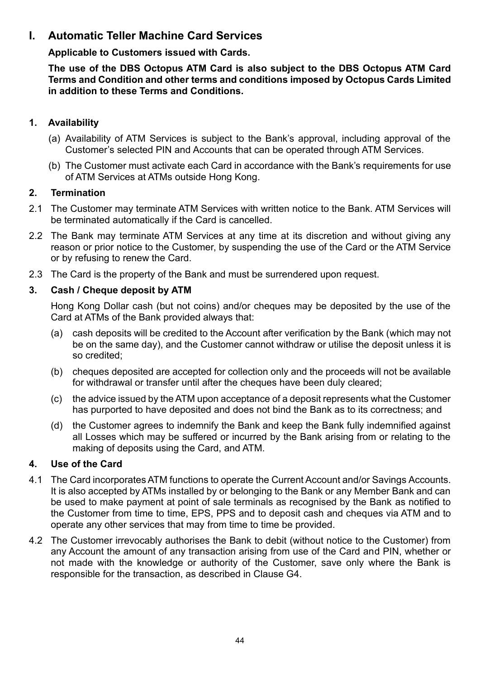## **I. Automatic Teller Machine Card Services**

**Applicable to Customers issued with Cards.** 

**The use of the DBS Octopus ATM Card is also subject to the DBS Octopus ATM Card Terms and Condition and other terms and conditions imposed by Octopus Cards Limited in addition to these Terms and Conditions.** 

#### **1. Availability**

- (a) Availability of ATM Services is subject to the Bank's approval, including approval of the Customer's selected PIN and Accounts that can be operated through ATM Services.
- (b) The Customer must activate each Card in accordance with the Bank's requirements for use of ATM Services at ATMs outside Hong Kong.

#### **2. Termination**

- 2.1 The Customer may terminate ATM Services with written notice to the Bank. ATM Services will be terminated automatically if the Card is cancelled.
- 2.2 The Bank may terminate ATM Services at any time at its discretion and without giving any reason or prior notice to the Customer, by suspending the use of the Card or the ATM Service or by refusing to renew the Card.
- 2.3 The Card is the property of the Bank and must be surrendered upon request.

#### **3. Cash / Cheque deposit by ATM**

Hong Kong Dollar cash (but not coins) and/or cheques may be deposited by the use of the Card at ATMs of the Bank provided always that:

- (a) cash deposits will be credited to the Account after verification by the Bank (which may not be on the same day), and the Customer cannot withdraw or utilise the deposit unless it is so credited;
- (b) cheques deposited are accepted for collection only and the proceeds will not be available for withdrawal or transfer until after the cheques have been duly cleared;
- (c) the advice issued by the ATM upon acceptance of a deposit represents what the Customer has purported to have deposited and does not bind the Bank as to its correctness; and
- (d) the Customer agrees to indemnify the Bank and keep the Bank fully indemnified against all Losses which may be suffered or incurred by the Bank arising from or relating to the making of deposits using the Card, and ATM.

#### **4. Use of the Card**

- 4.1 The Card incorporates ATM functions to operate the Current Account and/or Savings Accounts. It is also accepted by ATMs installed by or belonging to the Bank or any Member Bank and can be used to make payment at point of sale terminals as recognised by the Bank as notified to the Customer from time to time, EPS, PPS and to deposit cash and cheques via ATM and to operate any other services that may from time to time be provided.
- 4.2 The Customer irrevocably authorises the Bank to debit (without notice to the Customer) from any Account the amount of any transaction arising from use of the Card and PIN, whether or not made with the knowledge or authority of the Customer, save only where the Bank is responsible for the transaction, as described in Clause G4.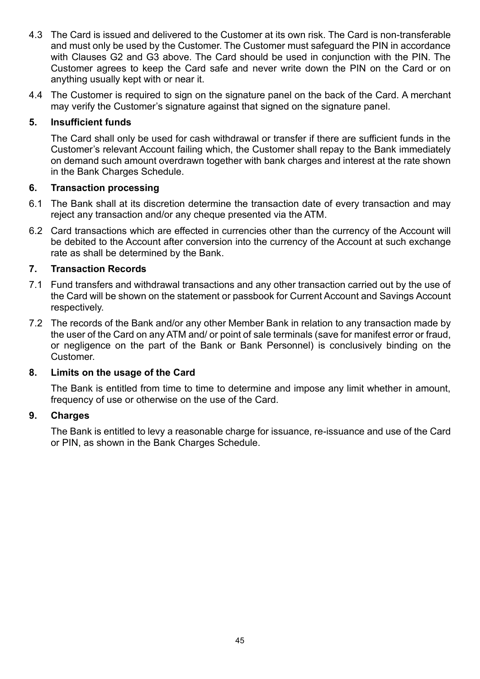- 4.3 The Card is issued and delivered to the Customer at its own risk. The Card is non-transferable and must only be used by the Customer. The Customer must safeguard the PIN in accordance with Clauses G2 and G3 above. The Card should be used in conjunction with the PIN. The Customer agrees to keep the Card safe and never write down the PIN on the Card or on anything usually kept with or near it.
- 4.4 The Customer is required to sign on the signature panel on the back of the Card. A merchant may verify the Customer's signature against that signed on the signature panel.

#### **5. Insufficient funds**

The Card shall only be used for cash withdrawal or transfer if there are sufficient funds in the Customer's relevant Account failing which, the Customer shall repay to the Bank immediately on demand such amount overdrawn together with bank charges and interest at the rate shown in the Bank Charges Schedule.

#### **6. Transaction processing**

- 6.1 The Bank shall at its discretion determine the transaction date of every transaction and may reject any transaction and/or any cheque presented via the ATM.
- 6.2 Card transactions which are effected in currencies other than the currency of the Account will be debited to the Account after conversion into the currency of the Account at such exchange rate as shall be determined by the Bank.

#### **7. Transaction Records**

- 7.1 Fund transfers and withdrawal transactions and any other transaction carried out by the use of the Card will be shown on the statement or passbook for Current Account and Savings Account respectively.
- 7.2 The records of the Bank and/or any other Member Bank in relation to any transaction made by the user of the Card on any ATM and/ or point of sale terminals (save for manifest error or fraud, or negligence on the part of the Bank or Bank Personnel) is conclusively binding on the Customer.

#### **8. Limits on the usage of the Card**

The Bank is entitled from time to time to determine and impose any limit whether in amount, frequency of use or otherwise on the use of the Card.

#### **9. Charges**

The Bank is entitled to levy a reasonable charge for issuance, re-issuance and use of the Card or PIN, as shown in the Bank Charges Schedule.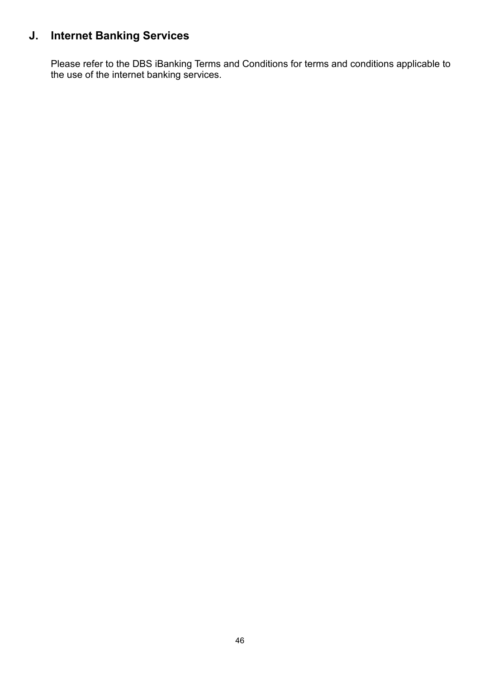## **J. Internet Banking Services**

Please refer to the DBS iBanking Terms and Conditions for terms and conditions applicable to the use of the internet banking services.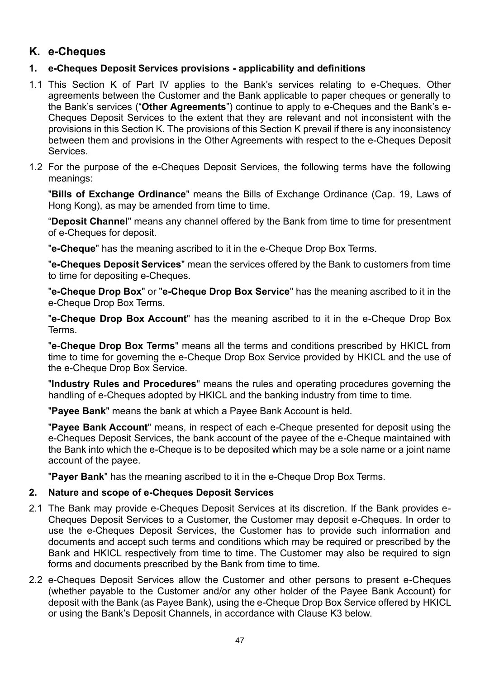## **K. e-Cheques**

### **1. e-Cheques Deposit Services provisions - applicability and definitions**

- 1.1 This Section K of Part IV applies to the Bank's services relating to e-Cheques. Other agreements between the Customer and the Bank applicable to paper cheques or generally to the Bank's services ("**Other Agreements**") continue to apply to e-Cheques and the Bank's e-Cheques Deposit Services to the extent that they are relevant and not inconsistent with the provisions in this Section K. The provisions of this Section K prevail if there is any inconsistency between them and provisions in the Other Agreements with respect to the e-Cheques Deposit **Services**
- 1.2 For the purpose of the e-Cheques Deposit Services, the following terms have the following meanings:

"**Bills of Exchange Ordinance**" means the Bills of Exchange Ordinance (Cap. 19, Laws of Hong Kong), as may be amended from time to time.

"**Deposit Channel**" means any channel offered by the Bank from time to time for presentment of e-Cheques for deposit.

"**e-Cheque**" has the meaning ascribed to it in the e-Cheque Drop Box Terms.

"**e-Cheques Deposit Services**" mean the services offered by the Bank to customers from time to time for depositing e-Cheques.

"**e-Cheque Drop Box**" or "**e-Cheque Drop Box Service**" has the meaning ascribed to it in the e-Cheque Drop Box Terms.

"**e-Cheque Drop Box Account**" has the meaning ascribed to it in the e-Cheque Drop Box Terms.

"**e-Cheque Drop Box Terms**" means all the terms and conditions prescribed by HKICL from time to time for governing the e-Cheque Drop Box Service provided by HKICL and the use of the e-Cheque Drop Box Service.

"**Industry Rules and Procedures**" means the rules and operating procedures governing the handling of e-Cheques adopted by HKICL and the banking industry from time to time.

"**Payee Bank**" means the bank at which a Payee Bank Account is held.

"**Payee Bank Account**" means, in respect of each e-Cheque presented for deposit using the e-Cheques Deposit Services, the bank account of the payee of the e-Cheque maintained with the Bank into which the e-Cheque is to be deposited which may be a sole name or a joint name account of the payee.

"**Payer Bank**" has the meaning ascribed to it in the e-Cheque Drop Box Terms.

#### **2. Nature and scope of e-Cheques Deposit Services**

- 2.1 The Bank may provide e-Cheques Deposit Services at its discretion. If the Bank provides e-Cheques Deposit Services to a Customer, the Customer may deposit e-Cheques. In order to use the e-Cheques Deposit Services, the Customer has to provide such information and documents and accept such terms and conditions which may be required or prescribed by the Bank and HKICL respectively from time to time. The Customer may also be required to sign forms and documents prescribed by the Bank from time to time.
- 2.2 e-Cheques Deposit Services allow the Customer and other persons to present e-Cheques (whether payable to the Customer and/or any other holder of the Payee Bank Account) for deposit with the Bank (as Payee Bank), using the e-Cheque Drop Box Service offered by HKICL or using the Bank's Deposit Channels, in accordance with Clause K3 below.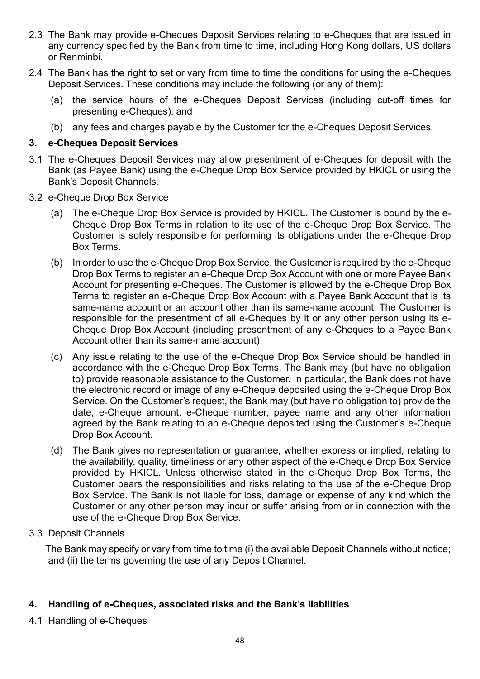- 2.3 The Bank may provide e-Cheques Deposit Services relating to e-Cheques that are issued in any currency specified by the Bank from time to time, including Hong Kong dollars, US dollars or Renminbi.
- 2.4 The Bank has the right to set or vary from time to time the conditions for using the e-Cheques Deposit Services. These conditions may include the following (or any of them):
	- (a) the service hours of the e-Cheques Deposit Services (including cut-off times for presenting e-Cheques); and
	- (b) any fees and charges payable by the Customer for the e-Cheques Deposit Services.

#### **3. e-Cheques Deposit Services**

- 3.1 The e-Cheques Deposit Services may allow presentment of e-Cheques for deposit with the Bank (as Payee Bank) using the e-Cheque Drop Box Service provided by HKICL or using the Bank's Deposit Channels.
- 3.2 e-Cheque Drop Box Service
	- (a) The e-Cheque Drop Box Service is provided by HKICL. The Customer is bound by the e-Cheque Drop Box Terms in relation to its use of the e-Cheque Drop Box Service. The Customer is solely responsible for performing its obligations under the e-Cheque Drop Box Terms.
	- (b) In order to use the e-Cheque Drop Box Service, the Customer is required by the e-Cheque Drop Box Terms to register an e-Cheque Drop Box Account with one or more Payee Bank Account for presenting e-Cheques. The Customer is allowed by the e-Cheque Drop Box Terms to register an e-Cheque Drop Box Account with a Payee Bank Account that is its same-name account or an account other than its same-name account. The Customer is responsible for the presentment of all e-Cheques by it or any other person using its e-Cheque Drop Box Account (including presentment of any e-Cheques to a Payee Bank Account other than its same-name account).
	- (c) Any issue relating to the use of the e-Cheque Drop Box Service should be handled in accordance with the e-Cheque Drop Box Terms. The Bank may (but have no obligation to) provide reasonable assistance to the Customer. In particular, the Bank does not have the electronic record or image of any e-Cheque deposited using the e-Cheque Drop Box Service. On the Customer's request, the Bank may (but have no obligation to) provide the date, e-Cheque amount, e-Cheque number, payee name and any other information agreed by the Bank relating to an e-Cheque deposited using the Customer's e-Cheque Drop Box Account.
	- (d) The Bank gives no representation or guarantee, whether express or implied, relating to the availability, quality, timeliness or any other aspect of the e-Cheque Drop Box Service provided by HKICL. Unless otherwise stated in the e-Cheque Drop Box Terms, the Customer bears the responsibilities and risks relating to the use of the e-Cheque Drop Box Service. The Bank is not liable for loss, damage or expense of any kind which the Customer or any other person may incur or suffer arising from or in connection with the use of the e-Cheque Drop Box Service.
- 3.3 Deposit Channels

The Bank may specify or vary from time to time (i) the available Deposit Channels without notice; and (ii) the terms governing the use of any Deposit Channel.

#### **4. Handling of e-Cheques, associated risks and the Bank's liabilities**

4.1 Handling of e-Cheques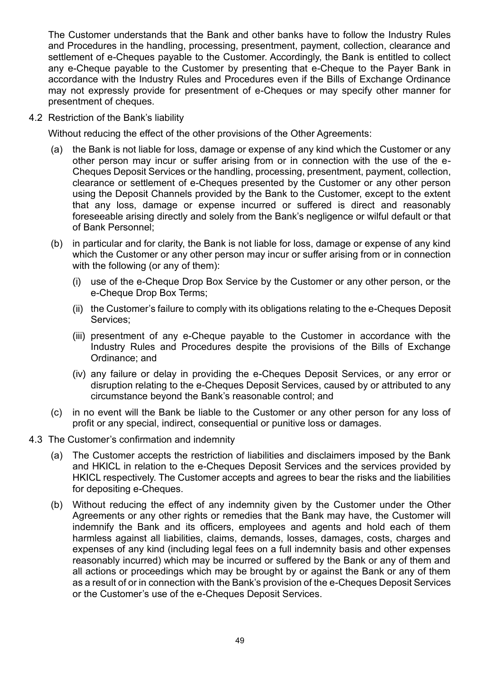The Customer understands that the Bank and other banks have to follow the Industry Rules and Procedures in the handling, processing, presentment, payment, collection, clearance and settlement of e-Cheques payable to the Customer. Accordingly, the Bank is entitled to collect any e-Cheque payable to the Customer by presenting that e-Cheque to the Payer Bank in accordance with the Industry Rules and Procedures even if the Bills of Exchange Ordinance may not expressly provide for presentment of e-Cheques or may specify other manner for presentment of cheques.

4.2 Restriction of the Bank's liability

Without reducing the effect of the other provisions of the Other Agreements:

- (a) the Bank is not liable for loss, damage or expense of any kind which the Customer or any other person may incur or suffer arising from or in connection with the use of the e-Cheques Deposit Services or the handling, processing, presentment, payment, collection, clearance or settlement of e-Cheques presented by the Customer or any other person using the Deposit Channels provided by the Bank to the Customer, except to the extent that any loss, damage or expense incurred or suffered is direct and reasonably foreseeable arising directly and solely from the Bank's negligence or wilful default or that of Bank Personnel;
- (b) in particular and for clarity, the Bank is not liable for loss, damage or expense of any kind which the Customer or any other person may incur or suffer arising from or in connection with the following (or any of them):
	- (i) use of the e-Cheque Drop Box Service by the Customer or any other person, or the e-Cheque Drop Box Terms;
	- (ii) the Customer's failure to comply with its obligations relating to the e-Cheques Deposit Services;
	- (iii) presentment of any e-Cheque payable to the Customer in accordance with the Industry Rules and Procedures despite the provisions of the Bills of Exchange Ordinance; and
	- (iv) any failure or delay in providing the e-Cheques Deposit Services, or any error or disruption relating to the e-Cheques Deposit Services, caused by or attributed to any circumstance beyond the Bank's reasonable control; and
- (c) in no event will the Bank be liable to the Customer or any other person for any loss of profit or any special, indirect, consequential or punitive loss or damages.
- 4.3 The Customer's confirmation and indemnity
	- (a) The Customer accepts the restriction of liabilities and disclaimers imposed by the Bank and HKICL in relation to the e-Cheques Deposit Services and the services provided by HKICL respectively. The Customer accepts and agrees to bear the risks and the liabilities for depositing e-Cheques.
	- (b) Without reducing the effect of any indemnity given by the Customer under the Other Agreements or any other rights or remedies that the Bank may have, the Customer will indemnify the Bank and its officers, employees and agents and hold each of them harmless against all liabilities, claims, demands, losses, damages, costs, charges and expenses of any kind (including legal fees on a full indemnity basis and other expenses reasonably incurred) which may be incurred or suffered by the Bank or any of them and all actions or proceedings which may be brought by or against the Bank or any of them as a result of or in connection with the Bank's provision of the e-Cheques Deposit Services or the Customer's use of the e-Cheques Deposit Services.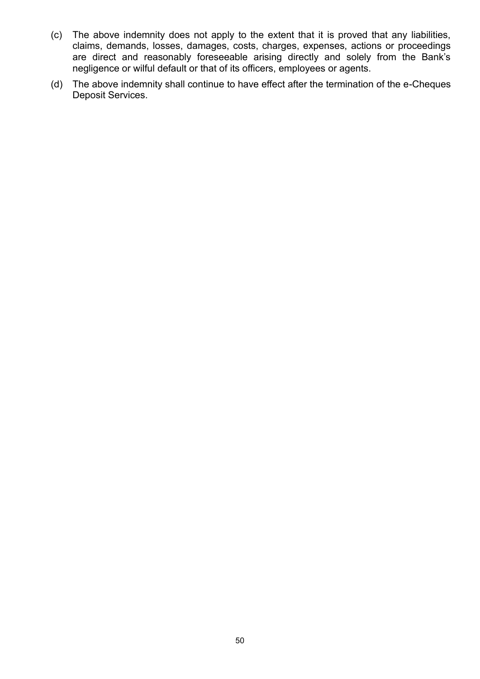- (c) The above indemnity does not apply to the extent that it is proved that any liabilities, claims, demands, losses, damages, costs, charges, expenses, actions or proceedings are direct and reasonably foreseeable arising directly and solely from the Bank's negligence or wilful default or that of its officers, employees or agents.
- (d) The above indemnity shall continue to have effect after the termination of the e-Cheques Deposit Services.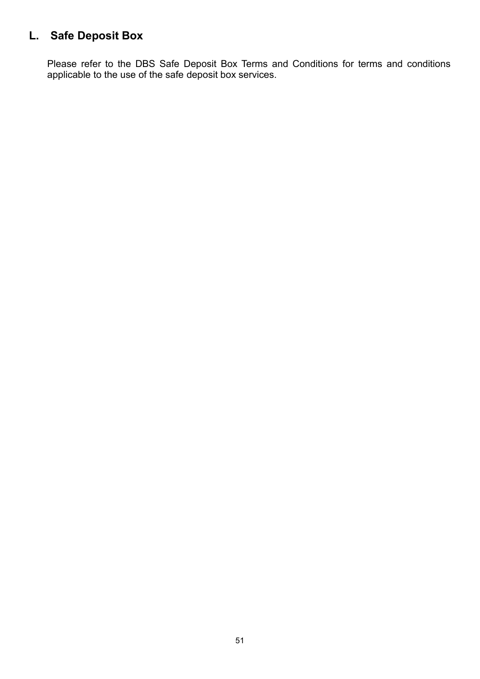## **L. Safe Deposit Box**

Please refer to the DBS Safe Deposit Box Terms and Conditions for terms and conditions applicable to the use of the safe deposit box services.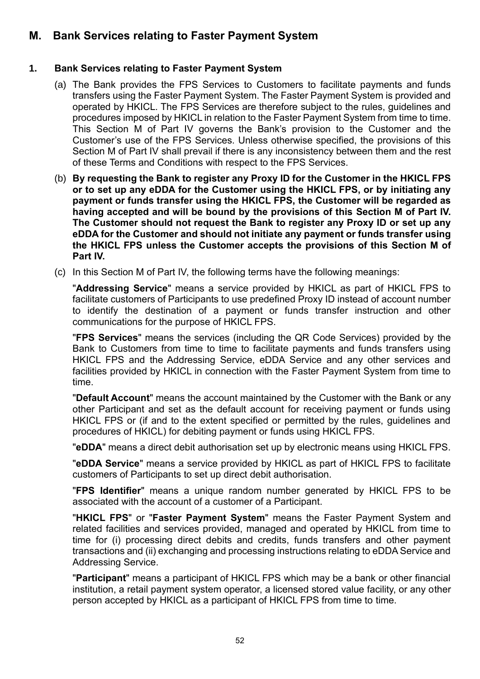## **M. Bank Services relating to Faster Payment System**

#### **1. Bank Services relating to Faster Payment System**

- (a) The Bank provides the FPS Services to Customers to facilitate payments and funds transfers using the Faster Payment System. The Faster Payment System is provided and operated by HKICL. The FPS Services are therefore subject to the rules, guidelines and procedures imposed by HKICL in relation to the Faster Payment System from time to time. This Section M of Part IV governs the Bank's provision to the Customer and the Customer's use of the FPS Services. Unless otherwise specified, the provisions of this Section M of Part IV shall prevail if there is any inconsistency between them and the rest of these Terms and Conditions with respect to the FPS Services.
- (b) **By requesting the Bank to register any Proxy ID for the Customer in the HKICL FPS or to set up any eDDA for the Customer using the HKICL FPS, or by initiating any payment or funds transfer using the HKICL FPS, the Customer will be regarded as having accepted and will be bound by the provisions of this Section M of Part IV. The Customer should not request the Bank to register any Proxy ID or set up any eDDA for the Customer and should not initiate any payment or funds transfer using the HKICL FPS unless the Customer accepts the provisions of this Section M of Part IV.**
- (c) In this Section M of Part IV, the following terms have the following meanings:

"**Addressing Service**" means a service provided by HKICL as part of HKICL FPS to facilitate customers of Participants to use predefined Proxy ID instead of account number to identify the destination of a payment or funds transfer instruction and other communications for the purpose of HKICL FPS.

"**FPS Services**" means the services (including the QR Code Services) provided by the Bank to Customers from time to time to facilitate payments and funds transfers using HKICL FPS and the Addressing Service, eDDA Service and any other services and facilities provided by HKICL in connection with the Faster Payment System from time to time.

"**Default Account**" means the account maintained by the Customer with the Bank or any other Participant and set as the default account for receiving payment or funds using HKICL FPS or (if and to the extent specified or permitted by the rules, guidelines and procedures of HKICL) for debiting payment or funds using HKICL FPS.

"**eDDA**" means a direct debit authorisation set up by electronic means using HKICL FPS.

"**eDDA Service**" means a service provided by HKICL as part of HKICL FPS to facilitate customers of Participants to set up direct debit authorisation.

"**FPS Identifier**" means a unique random number generated by HKICL FPS to be associated with the account of a customer of a Participant.

"**HKICL FPS**" or "**Faster Payment System**" means the Faster Payment System and related facilities and services provided, managed and operated by HKICL from time to time for (i) processing direct debits and credits, funds transfers and other payment transactions and (ii) exchanging and processing instructions relating to eDDA Service and Addressing Service.

"**Participant**" means a participant of HKICL FPS which may be a bank or other financial institution, a retail payment system operator, a licensed stored value facility, or any other person accepted by HKICL as a participant of HKICL FPS from time to time.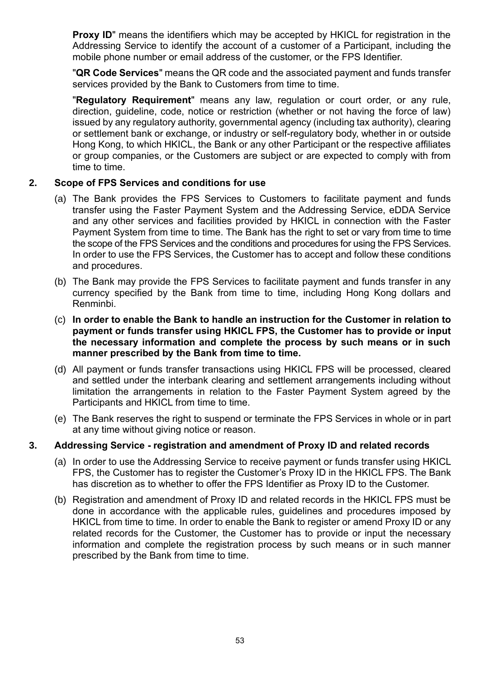**Proxy ID**" means the identifiers which may be accepted by HKICL for registration in the Addressing Service to identify the account of a customer of a Participant, including the mobile phone number or email address of the customer, or the FPS Identifier.

"**QR Code Services**" means the QR code and the associated payment and funds transfer services provided by the Bank to Customers from time to time.

"**Regulatory Requirement**" means any law, regulation or court order, or any rule, direction, guideline, code, notice or restriction (whether or not having the force of law) issued by any regulatory authority, governmental agency (including tax authority), clearing or settlement bank or exchange, or industry or self-regulatory body, whether in or outside Hong Kong, to which HKICL, the Bank or any other Participant or the respective affiliates or group companies, or the Customers are subject or are expected to comply with from time to time.

#### **2. Scope of FPS Services and conditions for use**

- (a) The Bank provides the FPS Services to Customers to facilitate payment and funds transfer using the Faster Payment System and the Addressing Service, eDDA Service and any other services and facilities provided by HKICL in connection with the Faster Payment System from time to time. The Bank has the right to set or vary from time to time the scope of the FPS Services and the conditions and procedures for using the FPS Services. In order to use the FPS Services, the Customer has to accept and follow these conditions and procedures.
- (b) The Bank may provide the FPS Services to facilitate payment and funds transfer in any currency specified by the Bank from time to time, including Hong Kong dollars and Renminbi.
- (c) **In order to enable the Bank to handle an instruction for the Customer in relation to payment or funds transfer using HKICL FPS, the Customer has to provide or input the necessary information and complete the process by such means or in such manner prescribed by the Bank from time to time.**
- (d) All payment or funds transfer transactions using HKICL FPS will be processed, cleared and settled under the interbank clearing and settlement arrangements including without limitation the arrangements in relation to the Faster Payment System agreed by the Participants and HKICL from time to time.
- (e) The Bank reserves the right to suspend or terminate the FPS Services in whole or in part at any time without giving notice or reason.

#### **3. Addressing Service - registration and amendment of Proxy ID and related records**

- (a) In order to use the Addressing Service to receive payment or funds transfer using HKICL FPS, the Customer has to register the Customer's Proxy ID in the HKICL FPS. The Bank has discretion as to whether to offer the FPS Identifier as Proxy ID to the Customer.
- (b) Registration and amendment of Proxy ID and related records in the HKICL FPS must be done in accordance with the applicable rules, guidelines and procedures imposed by HKICL from time to time. In order to enable the Bank to register or amend Proxy ID or any related records for the Customer, the Customer has to provide or input the necessary information and complete the registration process by such means or in such manner prescribed by the Bank from time to time.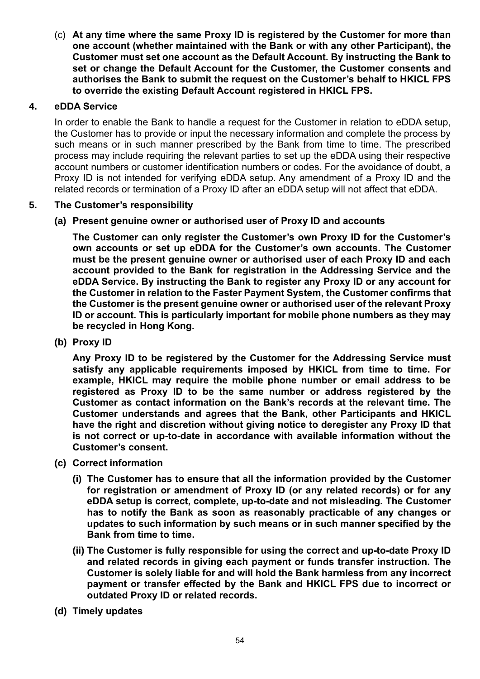(c) **At any time where the same Proxy ID is registered by the Customer for more than one account (whether maintained with the Bank or with any other Participant), the Customer must set one account as the Default Account. By instructing the Bank to set or change the Default Account for the Customer, the Customer consents and authorises the Bank to submit the request on the Customer's behalf to HKICL FPS to override the existing Default Account registered in HKICL FPS.** 

#### **4. eDDA Service**

In order to enable the Bank to handle a request for the Customer in relation to eDDA setup, the Customer has to provide or input the necessary information and complete the process by such means or in such manner prescribed by the Bank from time to time. The prescribed process may include requiring the relevant parties to set up the eDDA using their respective account numbers or customer identification numbers or codes. For the avoidance of doubt, a Proxy ID is not intended for verifying eDDA setup. Any amendment of a Proxy ID and the related records or termination of a Proxy ID after an eDDA setup will not affect that eDDA.

#### **5. The Customer's responsibility**

#### **(a) Present genuine owner or authorised user of Proxy ID and accounts**

**The Customer can only register the Customer's own Proxy ID for the Customer's own accounts or set up eDDA for the Customer's own accounts. The Customer must be the present genuine owner or authorised user of each Proxy ID and each account provided to the Bank for registration in the Addressing Service and the eDDA Service. By instructing the Bank to register any Proxy ID or any account for the Customer in relation to the Faster Payment System, the Customer confirms that the Customer is the present genuine owner or authorised user of the relevant Proxy ID or account. This is particularly important for mobile phone numbers as they may be recycled in Hong Kong.** 

**(b) Proxy ID** 

**Any Proxy ID to be registered by the Customer for the Addressing Service must satisfy any applicable requirements imposed by HKICL from time to time. For example, HKICL may require the mobile phone number or email address to be registered as Proxy ID to be the same number or address registered by the Customer as contact information on the Bank's records at the relevant time. The Customer understands and agrees that the Bank, other Participants and HKICL have the right and discretion without giving notice to deregister any Proxy ID that is not correct or up-to-date in accordance with available information without the Customer's consent.**

- **(c) Correct information**
	- **(i) The Customer has to ensure that all the information provided by the Customer for registration or amendment of Proxy ID (or any related records) or for any eDDA setup is correct, complete, up-to-date and not misleading. The Customer has to notify the Bank as soon as reasonably practicable of any changes or updates to such information by such means or in such manner specified by the Bank from time to time.**
	- **(ii) The Customer is fully responsible for using the correct and up-to-date Proxy ID and related records in giving each payment or funds transfer instruction. The Customer is solely liable for and will hold the Bank harmless from any incorrect payment or transfer effected by the Bank and HKICL FPS due to incorrect or outdated Proxy ID or related records.**
- **(d) Timely updates**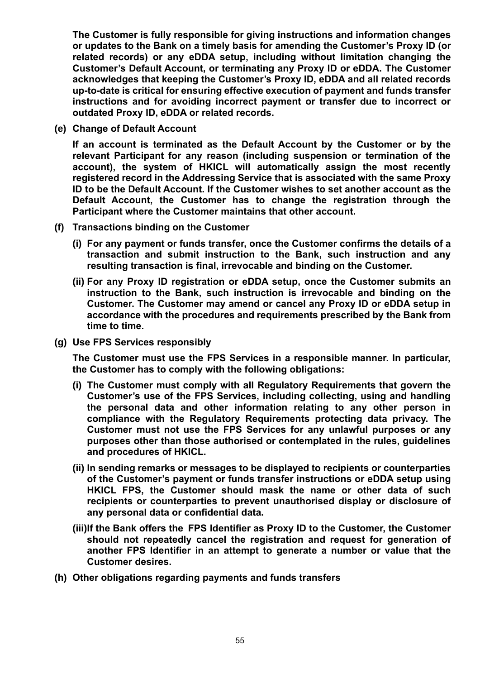**The Customer is fully responsible for giving instructions and information changes or updates to the Bank on a timely basis for amending the Customer's Proxy ID (or related records) or any eDDA setup, including without limitation changing the Customer's Default Account, or terminating any Proxy ID or eDDA. The Customer acknowledges that keeping the Customer's Proxy ID, eDDA and all related records up-to-date is critical for ensuring effective execution of payment and funds transfer instructions and for avoiding incorrect payment or transfer due to incorrect or outdated Proxy ID, eDDA or related records.**

**(e) Change of Default Account**

**If an account is terminated as the Default Account by the Customer or by the relevant Participant for any reason (including suspension or termination of the account), the system of HKICL will automatically assign the most recently registered record in the Addressing Service that is associated with the same Proxy ID to be the Default Account. If the Customer wishes to set another account as the Default Account, the Customer has to change the registration through the Participant where the Customer maintains that other account.**

- **(f) Transactions binding on the Customer**
	- **(i) For any payment or funds transfer, once the Customer confirms the details of a transaction and submit instruction to the Bank, such instruction and any resulting transaction is final, irrevocable and binding on the Customer.**
	- **(ii) For any Proxy ID registration or eDDA setup, once the Customer submits an instruction to the Bank, such instruction is irrevocable and binding on the Customer. The Customer may amend or cancel any Proxy ID or eDDA setup in accordance with the procedures and requirements prescribed by the Bank from time to time.**
- **(g) Use FPS Services responsibly**

**The Customer must use the FPS Services in a responsible manner. In particular, the Customer has to comply with the following obligations:**

- **(i) The Customer must comply with all Regulatory Requirements that govern the Customer's use of the FPS Services, including collecting, using and handling the personal data and other information relating to any other person in compliance with the Regulatory Requirements protecting data privacy. The Customer must not use the FPS Services for any unlawful purposes or any purposes other than those authorised or contemplated in the rules, guidelines and procedures of HKICL.**
- **(ii) In sending remarks or messages to be displayed to recipients or counterparties of the Customer's payment or funds transfer instructions or eDDA setup using HKICL FPS, the Customer should mask the name or other data of such recipients or counterparties to prevent unauthorised display or disclosure of any personal data or confidential data.**
- **(iii)If the Bank offers the FPS Identifier as Proxy ID to the Customer, the Customer should not repeatedly cancel the registration and request for generation of another FPS Identifier in an attempt to generate a number or value that the Customer desires.**
- **(h) Other obligations regarding payments and funds transfers**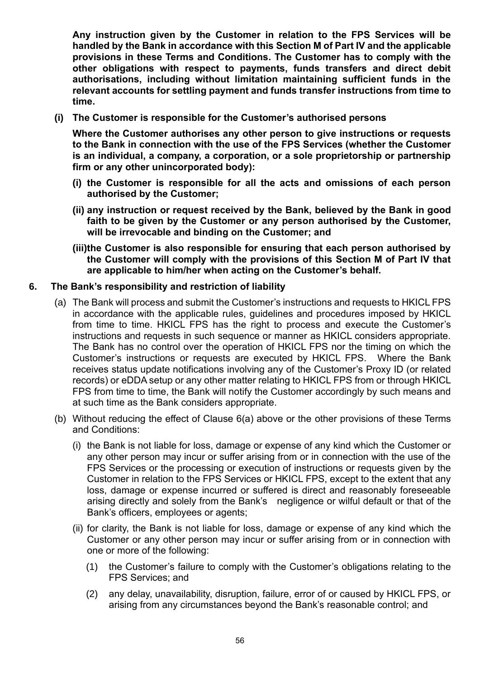**Any instruction given by the Customer in relation to the FPS Services will be handled by the Bank in accordance with this Section M of Part IV and the applicable provisions in these Terms and Conditions. The Customer has to comply with the other obligations with respect to payments, funds transfers and direct debit authorisations, including without limitation maintaining sufficient funds in the relevant accounts for settling payment and funds transfer instructions from time to time.** 

**(i) The Customer is responsible for the Customer's authorised persons** 

**Where the Customer authorises any other person to give instructions or requests to the Bank in connection with the use of the FPS Services (whether the Customer is an individual, a company, a corporation, or a sole proprietorship or partnership firm or any other unincorporated body):**

- **(i) the Customer is responsible for all the acts and omissions of each person authorised by the Customer;**
- **(ii) any instruction or request received by the Bank, believed by the Bank in good faith to be given by the Customer or any person authorised by the Customer, will be irrevocable and binding on the Customer; and**
- **(iii)the Customer is also responsible for ensuring that each person authorised by the Customer will comply with the provisions of this Section M of Part IV that are applicable to him/her when acting on the Customer's behalf.**

#### **6. The Bank's responsibility and restriction of liability**

- (a) The Bank will process and submit the Customer's instructions and requests to HKICL FPS in accordance with the applicable rules, guidelines and procedures imposed by HKICL from time to time. HKICL FPS has the right to process and execute the Customer's instructions and requests in such sequence or manner as HKICL considers appropriate. The Bank has no control over the operation of HKICL FPS nor the timing on which the Customer's instructions or requests are executed by HKICL FPS. Where the Bank receives status update notifications involving any of the Customer's Proxy ID (or related records) or eDDA setup or any other matter relating to HKICL FPS from or through HKICL FPS from time to time, the Bank will notify the Customer accordingly by such means and at such time as the Bank considers appropriate.
- (b) Without reducing the effect of Clause 6(a) above or the other provisions of these Terms and Conditions:
	- (i) the Bank is not liable for loss, damage or expense of any kind which the Customer or any other person may incur or suffer arising from or in connection with the use of the FPS Services or the processing or execution of instructions or requests given by the Customer in relation to the FPS Services or HKICL FPS, except to the extent that any loss, damage or expense incurred or suffered is direct and reasonably foreseeable arising directly and solely from the Bank's negligence or wilful default or that of the Bank's officers, employees or agents;
	- (ii) for clarity, the Bank is not liable for loss, damage or expense of any kind which the Customer or any other person may incur or suffer arising from or in connection with one or more of the following:
		- (1) the Customer's failure to comply with the Customer's obligations relating to the FPS Services; and
		- (2) any delay, unavailability, disruption, failure, error of or caused by HKICL FPS, or arising from any circumstances beyond the Bank's reasonable control; and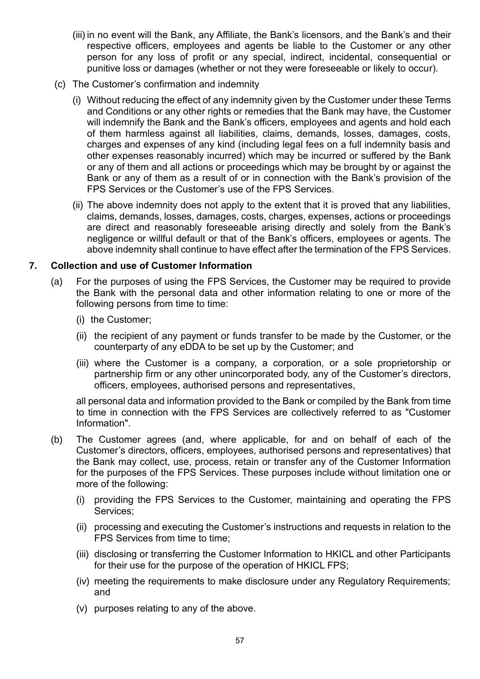- (iii) in no event will the Bank, any Affiliate, the Bank's licensors, and the Bank's and their respective officers, employees and agents be liable to the Customer or any other person for any loss of profit or any special, indirect, incidental, consequential or punitive loss or damages (whether or not they were foreseeable or likely to occur).
- (c) The Customer's confirmation and indemnity
	- (i) Without reducing the effect of any indemnity given by the Customer under these Terms and Conditions or any other rights or remedies that the Bank may have, the Customer will indemnify the Bank and the Bank's officers, employees and agents and hold each of them harmless against all liabilities, claims, demands, losses, damages, costs, charges and expenses of any kind (including legal fees on a full indemnity basis and other expenses reasonably incurred) which may be incurred or suffered by the Bank or any of them and all actions or proceedings which may be brought by or against the Bank or any of them as a result of or in connection with the Bank's provision of the FPS Services or the Customer's use of the FPS Services.
	- (ii) The above indemnity does not apply to the extent that it is proved that any liabilities, claims, demands, losses, damages, costs, charges, expenses, actions or proceedings are direct and reasonably foreseeable arising directly and solely from the Bank's negligence or willful default or that of the Bank's officers, employees or agents. The above indemnity shall continue to have effect after the termination of the FPS Services.

#### **7. Collection and use of Customer Information**

- (a) For the purposes of using the FPS Services, the Customer may be required to provide the Bank with the personal data and other information relating to one or more of the following persons from time to time:
	- (i) the Customer;
	- (ii) the recipient of any payment or funds transfer to be made by the Customer, or the counterparty of any eDDA to be set up by the Customer; and
	- (iii) where the Customer is a company, a corporation, or a sole proprietorship or partnership firm or any other unincorporated body, any of the Customer's directors, officers, employees, authorised persons and representatives,

all personal data and information provided to the Bank or compiled by the Bank from time to time in connection with the FPS Services are collectively referred to as "Customer Information".

- (b) The Customer agrees (and, where applicable, for and on behalf of each of the Customer's directors, officers, employees, authorised persons and representatives) that the Bank may collect, use, process, retain or transfer any of the Customer Information for the purposes of the FPS Services. These purposes include without limitation one or more of the following:
	- (i) providing the FPS Services to the Customer, maintaining and operating the FPS Services;
	- (ii) processing and executing the Customer's instructions and requests in relation to the FPS Services from time to time;
	- (iii) disclosing or transferring the Customer Information to HKICL and other Participants for their use for the purpose of the operation of HKICL FPS;
	- (iv) meeting the requirements to make disclosure under any Regulatory Requirements; and
	- (v) purposes relating to any of the above.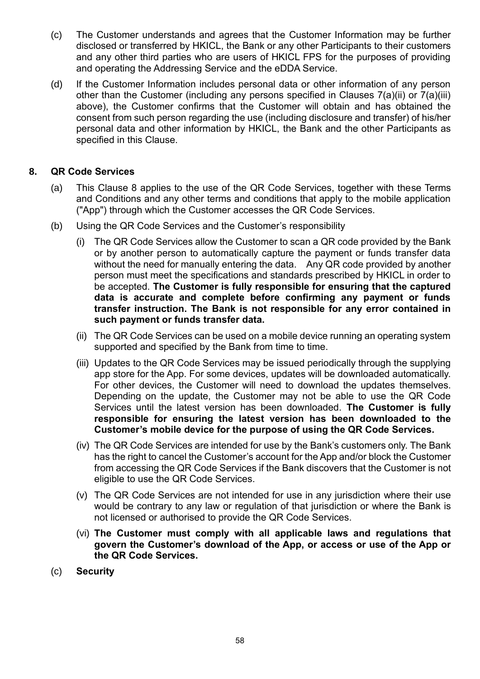- (c) The Customer understands and agrees that the Customer Information may be further disclosed or transferred by HKICL, the Bank or any other Participants to their customers and any other third parties who are users of HKICL FPS for the purposes of providing and operating the Addressing Service and the eDDA Service.
- (d) If the Customer Information includes personal data or other information of any person other than the Customer (including any persons specified in Clauses 7(a)(ii) or 7(a)(iii) above), the Customer confirms that the Customer will obtain and has obtained the consent from such person regarding the use (including disclosure and transfer) of his/her personal data and other information by HKICL, the Bank and the other Participants as specified in this Clause.

#### **8. QR Code Services**

- (a) This Clause 8 applies to the use of the QR Code Services, together with these Terms and Conditions and any other terms and conditions that apply to the mobile application ("App") through which the Customer accesses the QR Code Services.
- (b) Using the QR Code Services and the Customer's responsibility
	- (i) The QR Code Services allow the Customer to scan a QR code provided by the Bank or by another person to automatically capture the payment or funds transfer data without the need for manually entering the data. Any QR code provided by another person must meet the specifications and standards prescribed by HKICL in order to be accepted. **The Customer is fully responsible for ensuring that the captured data is accurate and complete before confirming any payment or funds transfer instruction. The Bank is not responsible for any error contained in such payment or funds transfer data.**
	- (ii) The QR Code Services can be used on a mobile device running an operating system supported and specified by the Bank from time to time.
	- (iii) Updates to the QR Code Services may be issued periodically through the supplying app store for the App. For some devices, updates will be downloaded automatically. For other devices, the Customer will need to download the updates themselves. Depending on the update, the Customer may not be able to use the QR Code Services until the latest version has been downloaded. **The Customer is fully responsible for ensuring the latest version has been downloaded to the Customer's mobile device for the purpose of using the QR Code Services.**
	- (iv) The QR Code Services are intended for use by the Bank's customers only. The Bank has the right to cancel the Customer's account for the App and/or block the Customer from accessing the QR Code Services if the Bank discovers that the Customer is not eligible to use the QR Code Services.
	- (v) The QR Code Services are not intended for use in any jurisdiction where their use would be contrary to any law or regulation of that jurisdiction or where the Bank is not licensed or authorised to provide the QR Code Services.
	- (vi) **The Customer must comply with all applicable laws and regulations that govern the Customer's download of the App, or access or use of the App or the QR Code Services.**
- (c) **Security**